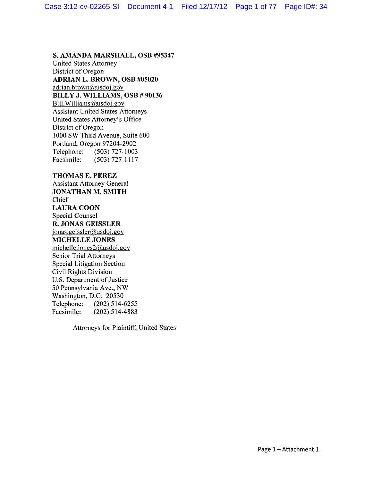### **S. AMANDA MARSHALL, OSB #95347**

United States Attorney District of Oregon **ADRIAN L. BROWN, OSB #05020**  adrian.brown@usdoj.gov **BILLY J. WILLIAMS, OSB # 90136**  Bill. Williams@usdoj.gov Assistant United States Attorneys United States Attorney's Office District of Oregon 1000 SW Third Avenue, Suite 600 Portland, Oregon 97204-2902 Telephone: (503) 727-1003 Facsimile: (503) 727-1117

### **THOMAS E. PEREZ**

Assistant Attorney General **JONATHAN M. SMITH**  Chief **LAURA COON**  Special Counsel **R. JONAS GEISSLER**  jonas.geissler@usdoj .gov **MICHELLE JONES**  michelle.jones2@usdoj.gov Senior Trial Attorneys Special Litigation Section Civil Rights Division U.S. Department of Justice 50 Pennsylvania Ave., NW Washington, D.C. 20530 Telephone: (202) 514-6255 Facsimile: (202) 514-4883

Attorneys for Plaintiff, United States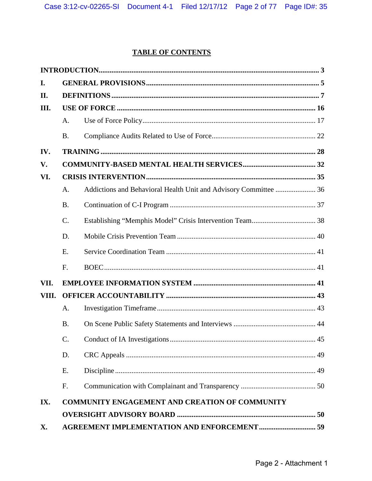# **TABLE OF CONTENTS**

| I.    |                                                       |                                                                  |  |  |
|-------|-------------------------------------------------------|------------------------------------------------------------------|--|--|
| П.    |                                                       |                                                                  |  |  |
| III.  |                                                       |                                                                  |  |  |
|       | A.                                                    |                                                                  |  |  |
|       | <b>B.</b>                                             |                                                                  |  |  |
| IV.   |                                                       |                                                                  |  |  |
| V.    |                                                       |                                                                  |  |  |
| VI.   |                                                       |                                                                  |  |  |
|       | A.                                                    | Addictions and Behavioral Health Unit and Advisory Committee  36 |  |  |
|       | <b>B.</b>                                             |                                                                  |  |  |
|       | C.                                                    |                                                                  |  |  |
|       | D.                                                    |                                                                  |  |  |
|       | E.                                                    |                                                                  |  |  |
|       | F.                                                    |                                                                  |  |  |
| VII.  |                                                       |                                                                  |  |  |
| VIII. |                                                       |                                                                  |  |  |
|       | A.                                                    |                                                                  |  |  |
|       | <b>B.</b>                                             |                                                                  |  |  |
|       | $C_{\cdot}$                                           |                                                                  |  |  |
|       | D.                                                    |                                                                  |  |  |
|       | E.                                                    |                                                                  |  |  |
|       | F.                                                    |                                                                  |  |  |
| IX.   | <b>COMMUNITY ENGAGEMENT AND CREATION OF COMMUNITY</b> |                                                                  |  |  |
|       |                                                       |                                                                  |  |  |
| X.    |                                                       |                                                                  |  |  |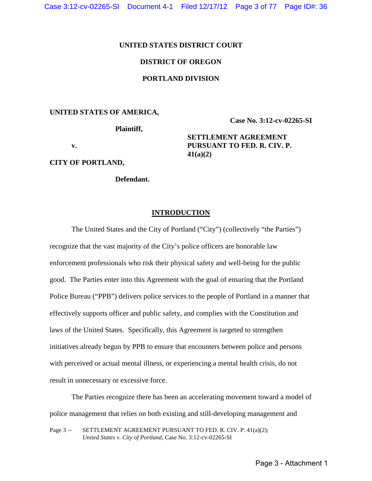Case 3:12-cv-02265-SI Document 4-1 Filed 12/17/12 Page 3 of 77 Page ID#: 36

## **UNITED STATES DISTRICT COURT**

# **DISTRICT OF OREGON**

# **PORTLAND DIVISION**

#### **UNITED STATES OF AMERICA,**

 **Plaintiff,**

**Case No. 3:12-cv-02265-SI**

**SETTLEMENT AGREEMENT PURSUANT TO FED. R. CIV. P.** 

 **v.** 

**CITY OF PORTLAND,**

**Defendant.**

### **INTRODUCTION**

**41(a)(2)** 

<span id="page-2-0"></span>The United States and the City of Portland ("City") (collectively "the Parties") recognize that the vast majority of the City's police officers are honorable law enforcement professionals who risk their physical safety and well-being for the public good. The Parties enter into this Agreement with the goal of ensuring that the Portland Police Bureau ("PPB") delivers police services to the people of Portland in a manner that effectively supports officer and public safety, and complies with the Constitution and laws of the United States. Specifically, this Agreement is targeted to strengthen initiatives already begun by PPB to ensure that encounters between police and persons with perceived or actual mental illness, or experiencing a mental health crisis, do not result in unnecessary or excessive force.

The Parties recognize there has been an accelerating movement toward a model of police management that relies on both existing and still-developing management and

Page 3 - SETTLEMENT AGREEMENT PURSUANT TO FED. R. CIV. P. 41(a)(2); *United States v. City of Portland,* Case No. 3:12-cv-02265-SI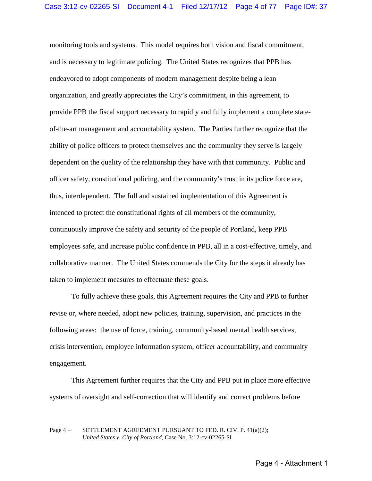monitoring tools and systems. This model requires both vision and fiscal commitment, and is necessary to legitimate policing. The United States recognizes that PPB has endeavored to adopt components of modern management despite being a lean organization, and greatly appreciates the City's commitment, in this agreement, to provide PPB the fiscal support necessary to rapidly and fully implement a complete stateof-the-art management and accountability system. The Parties further recognize that the ability of police officers to protect themselves and the community they serve is largely dependent on the quality of the relationship they have with that community. Public and officer safety, constitutional policing, and the community's trust in its police force are, thus, interdependent. The full and sustained implementation of this Agreement is intended to protect the constitutional rights of all members of the community, continuously improve the safety and security of the people of Portland, keep PPB employees safe, and increase public confidence in PPB, all in a cost-effective, timely, and collaborative manner. The United States commends the City for the steps it already has taken to implement measures to effectuate these goals.

 To fully achieve these goals, this Agreement requires the City and PPB to further revise or, where needed, adopt new policies, training, supervision, and practices in the following areas: the use of force, training, community-based mental health services, crisis intervention, employee information system, officer accountability, and community engagement.

This Agreement further requires that the City and PPB put in place more effective systems of oversight and self-correction that will identify and correct problems before

#### Page 4 – SETTLEMENT AGREEMENT PURSUANT TO FED. R. CIV. P. 41(a)(2); *United States v. City of Portland,* Case No. 3:12-cv-02265-SI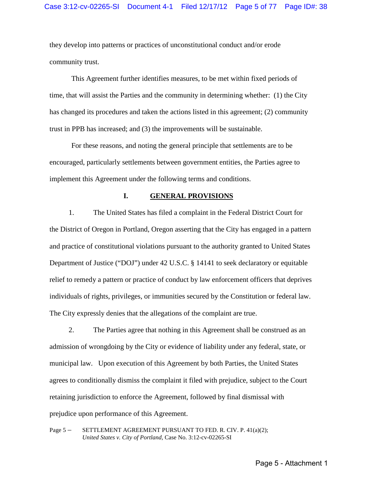they develop into patterns or practices of unconstitutional conduct and/or erode community trust.

This Agreement further identifies measures, to be met within fixed periods of time, that will assist the Parties and the community in determining whether: (1) the City has changed its procedures and taken the actions listed in this agreement; (2) community trust in PPB has increased; and (3) the improvements will be sustainable.

For these reasons, and noting the general principle that settlements are to be encouraged, particularly settlements between government entities, the Parties agree to implement this Agreement under the following terms and conditions.

#### **I. GENERAL PROVISIONS**

<span id="page-4-0"></span>1. The United States has filed a complaint in the Federal District Court for the District of Oregon in Portland, Oregon asserting that the City has engaged in a pattern and practice of constitutional violations pursuant to the authority granted to United States Department of Justice ("DOJ") under 42 U.S.C. § 14141 to seek declaratory or equitable relief to remedy a pattern or practice of conduct by law enforcement officers that deprives individuals of rights, privileges, or immunities secured by the Constitution or federal law. The City expressly denies that the allegations of the complaint are true.

2. The Parties agree that nothing in this Agreement shall be construed as an admission of wrongdoing by the City or evidence of liability under any federal, state, or municipal law. Upon execution of this Agreement by both Parties, the United States agrees to conditionally dismiss the complaint it filed with prejudice, subject to the Court retaining jurisdiction to enforce the Agreement, followed by final dismissal with prejudice upon performance of this Agreement.

Page 5 – SETTLEMENT AGREEMENT PURSUANT TO FED. R. CIV. P. 41(a)(2); *United States v. City of Portland,* Case No. 3:12-cv-02265-SI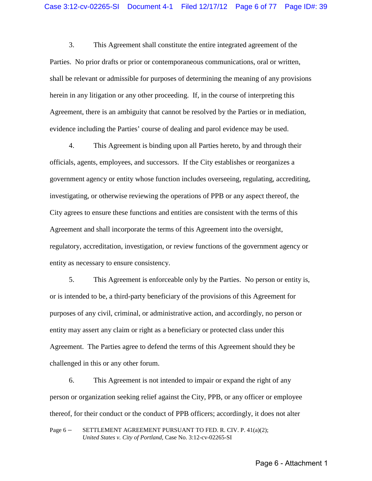3. This Agreement shall constitute the entire integrated agreement of the Parties. No prior drafts or prior or contemporaneous communications, oral or written, shall be relevant or admissible for purposes of determining the meaning of any provisions herein in any litigation or any other proceeding. If, in the course of interpreting this Agreement, there is an ambiguity that cannot be resolved by the Parties or in mediation, evidence including the Parties' course of dealing and parol evidence may be used.

4. This Agreement is binding upon all Parties hereto, by and through their officials, agents, employees, and successors. If the City establishes or reorganizes a government agency or entity whose function includes overseeing, regulating, accrediting, investigating, or otherwise reviewing the operations of PPB or any aspect thereof, the City agrees to ensure these functions and entities are consistent with the terms of this Agreement and shall incorporate the terms of this Agreement into the oversight, regulatory, accreditation, investigation, or review functions of the government agency or entity as necessary to ensure consistency.

5. This Agreement is enforceable only by the Parties. No person or entity is, or is intended to be, a third-party beneficiary of the provisions of this Agreement for purposes of any civil, criminal, or administrative action, and accordingly, no person or entity may assert any claim or right as a beneficiary or protected class under this Agreement. The Parties agree to defend the terms of this Agreement should they be challenged in this or any other forum.

6. This Agreement is not intended to impair or expand the right of any person or organization seeking relief against the City, PPB, or any officer or employee thereof, for their conduct or the conduct of PPB officers; accordingly, it does not alter

Page 6 – SETTLEMENT AGREEMENT PURSUANT TO FED. R. CIV. P. 41(a)(2); *United States v. City of Portland,* Case No. 3:12-cv-02265-SI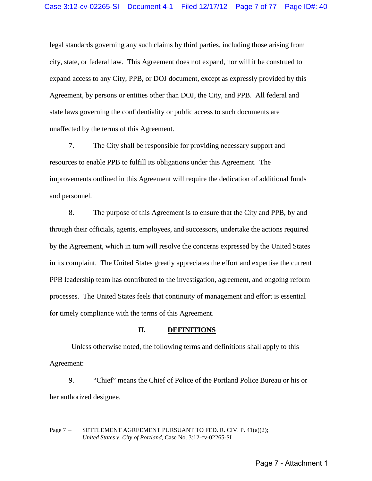legal standards governing any such claims by third parties, including those arising from city, state, or federal law. This Agreement does not expand, nor will it be construed to expand access to any City, PPB, or DOJ document, except as expressly provided by this Agreement, by persons or entities other than DOJ, the City, and PPB. All federal and state laws governing the confidentiality or public access to such documents are unaffected by the terms of this Agreement.

7. The City shall be responsible for providing necessary support and resources to enable PPB to fulfill its obligations under this Agreement. The improvements outlined in this Agreement will require the dedication of additional funds and personnel.

8. The purpose of this Agreement is to ensure that the City and PPB, by and through their officials, agents, employees, and successors, undertake the actions required by the Agreement, which in turn will resolve the concerns expressed by the United States in its complaint. The United States greatly appreciates the effort and expertise the current PPB leadership team has contributed to the investigation, agreement, and ongoing reform processes. The United States feels that continuity of management and effort is essential for timely compliance with the terms of this Agreement.

#### **II. DEFINITIONS**

<span id="page-6-0"></span>Unless otherwise noted, the following terms and definitions shall apply to this Agreement:

9. "Chief" means the Chief of Police of the Portland Police Bureau or his or her authorized designee.

Page 7 – SETTLEMENT AGREEMENT PURSUANT TO FED. R. CIV. P. 41(a)(2); *United States v. City of Portland,* Case No. 3:12-cv-02265-SI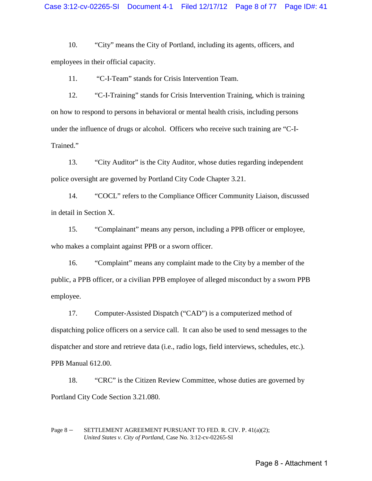10. "City" means the City of Portland, including its agents, officers, and employees in their official capacity.

11. "C-I-Team" stands for Crisis Intervention Team.

12. "C-I-Training" stands for Crisis Intervention Training, which is training on how to respond to persons in behavioral or mental health crisis, including persons under the influence of drugs or alcohol. Officers who receive such training are "C-I-Trained."

13. "City Auditor" is the City Auditor, whose duties regarding independent police oversight are governed by Portland City Code Chapter 3.21.

14. "COCL" refers to the Compliance Officer Community Liaison, discussed in detail in Section X.

15. "Complainant" means any person, including a PPB officer or employee, who makes a complaint against PPB or a sworn officer.

16. "Complaint" means any complaint made to the City by a member of the public, a PPB officer, or a civilian PPB employee of alleged misconduct by a sworn PPB employee.

17. Computer-Assisted Dispatch ("CAD") is a computerized method of dispatching police officers on a service call. It can also be used to send messages to the dispatcher and store and retrieve data (i.e., radio logs, field interviews, schedules, etc.). PPB Manual 612.00.

18. "CRC" is the Citizen Review Committee, whose duties are governed by Portland City Code Section 3.21.080.

Page 8 – SETTLEMENT AGREEMENT PURSUANT TO FED. R. CIV. P. 41(a)(2); *United States v. City of Portland,* Case No. 3:12-cv-02265-SI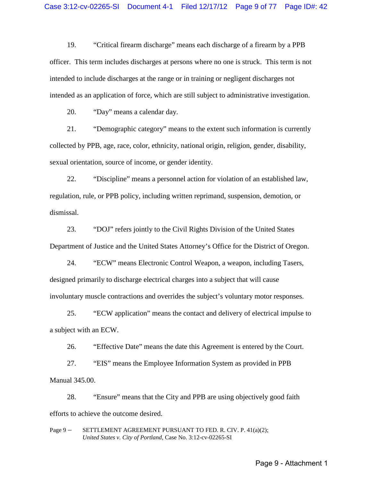19. "Critical firearm discharge" means each discharge of a firearm by a PPB officer. This term includes discharges at persons where no one is struck. This term is not intended to include discharges at the range or in training or negligent discharges not intended as an application of force, which are still subject to administrative investigation.

20. "Day" means a calendar day.

21. "Demographic category" means to the extent such information is currently collected by PPB, age, race, color, ethnicity, national origin, religion, gender, disability, sexual orientation, source of income, or gender identity.

22. "Discipline" means a personnel action for violation of an established law, regulation, rule, or PPB policy, including written reprimand, suspension, demotion, or dismissal.

23. "DOJ" refers jointly to the Civil Rights Division of the United States Department of Justice and the United States Attorney's Office for the District of Oregon.

24. "ECW" means Electronic Control Weapon, a weapon, including Tasers, designed primarily to discharge electrical charges into a subject that will cause involuntary muscle contractions and overrides the subject's voluntary motor responses.

25. "ECW application" means the contact and delivery of electrical impulse to a subject with an ECW.

26. "Effective Date" means the date this Agreement is entered by the Court.

27. "EIS" means the Employee Information System as provided in PPB Manual 345.00.

28. "Ensure" means that the City and PPB are using objectively good faith efforts to achieve the outcome desired.

Page 9 – SETTLEMENT AGREEMENT PURSUANT TO FED. R. CIV. P. 41(a)(2); *United States v. City of Portland,* Case No. 3:12-cv-02265-SI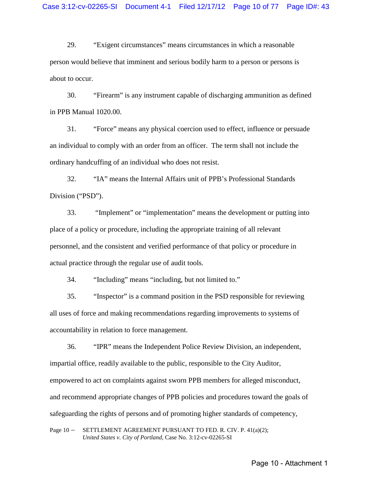29. "Exigent circumstances" means circumstances in which a reasonable person would believe that imminent and serious bodily harm to a person or persons is about to occur.

30. "Firearm" is any instrument capable of discharging ammunition as defined in PPB Manual 1020.00.

31. "Force" means any physical coercion used to effect, influence or persuade an individual to comply with an order from an officer. The term shall not include the ordinary handcuffing of an individual who does not resist.

32. "IA" means the Internal Affairs unit of PPB's Professional Standards Division ("PSD").

33. "Implement" or "implementation" means the development or putting into place of a policy or procedure, including the appropriate training of all relevant personnel, and the consistent and verified performance of that policy or procedure in actual practice through the regular use of audit tools.

34. "Including" means "including, but not limited to."

35. "Inspector" is a command position in the PSD responsible for reviewing all uses of force and making recommendations regarding improvements to systems of accountability in relation to force management.

36. "IPR" means the Independent Police Review Division, an independent, impartial office, readily available to the public, responsible to the City Auditor, empowered to act on complaints against sworn PPB members for alleged misconduct, and recommend appropriate changes of PPB policies and procedures toward the goals of safeguarding the rights of persons and of promoting higher standards of competency,

Page 10 - SETTLEMENT AGREEMENT PURSUANT TO FED. R. CIV. P. 41(a)(2); *United States v. City of Portland,* Case No. 3:12-cv-02265-SI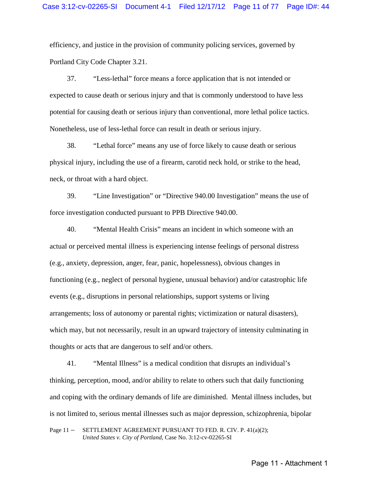efficiency, and justice in the provision of community policing services, governed by Portland City Code Chapter 3.21.

37. "Less-lethal" force means a force application that is not intended or expected to cause death or serious injury and that is commonly understood to have less potential for causing death or serious injury than conventional, more lethal police tactics. Nonetheless, use of less-lethal force can result in death or serious injury.

38. "Lethal force" means any use of force likely to cause death or serious physical injury, including the use of a firearm, carotid neck hold, or strike to the head, neck, or throat with a hard object.

39. "Line Investigation" or "Directive 940.00 Investigation" means the use of force investigation conducted pursuant to PPB Directive 940.00.

40. "Mental Health Crisis" means an incident in which someone with an actual or perceived mental illness is experiencing intense feelings of personal distress (e.g., anxiety, depression, anger, fear, panic, hopelessness), obvious changes in functioning (e.g., neglect of personal hygiene, unusual behavior) and/or catastrophic life events (e.g., disruptions in personal relationships, support systems or living arrangements; loss of autonomy or parental rights; victimization or natural disasters), which may, but not necessarily, result in an upward trajectory of intensity culminating in thoughts or acts that are dangerous to self and/or others.

41. "Mental Illness" is a medical condition that disrupts an individual's thinking, perception, mood, and/or ability to relate to others such that daily functioning and coping with the ordinary demands of life are diminished. Mental illness includes, but is not limited to, serious mental illnesses such as major depression, schizophrenia, bipolar

Page 11 - SETTLEMENT AGREEMENT PURSUANT TO FED. R. CIV. P. 41(a)(2); *United States v. City of Portland,* Case No. 3:12-cv-02265-SI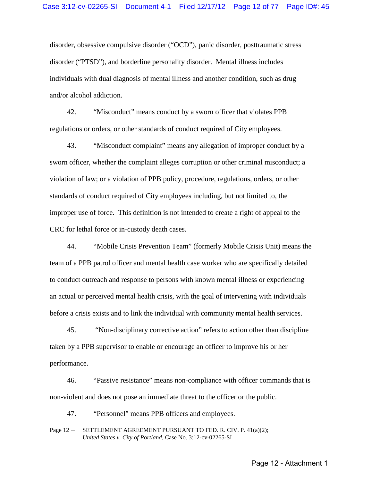disorder, obsessive compulsive disorder ("OCD"), panic disorder, posttraumatic stress disorder ("PTSD"), and borderline personality disorder. Mental illness includes individuals with dual diagnosis of mental illness and another condition, such as drug and/or alcohol addiction.

42. "Misconduct" means conduct by a sworn officer that violates PPB regulations or orders, or other standards of conduct required of City employees.

43. "Misconduct complaint" means any allegation of improper conduct by a sworn officer, whether the complaint alleges corruption or other criminal misconduct; a violation of law; or a violation of PPB policy, procedure, regulations, orders, or other standards of conduct required of City employees including, but not limited to, the improper use of force. This definition is not intended to create a right of appeal to the CRC for lethal force or in-custody death cases.

44. "Mobile Crisis Prevention Team" (formerly Mobile Crisis Unit) means the team of a PPB patrol officer and mental health case worker who are specifically detailed to conduct outreach and response to persons with known mental illness or experiencing an actual or perceived mental health crisis, with the goal of intervening with individuals before a crisis exists and to link the individual with community mental health services.

45. "Non-disciplinary corrective action" refers to action other than discipline taken by a PPB supervisor to enable or encourage an officer to improve his or her performance.

46. "Passive resistance" means non-compliance with officer commands that is non-violent and does not pose an immediate threat to the officer or the public.

47. "Personnel" means PPB officers and employees.

Page 12 - SETTLEMENT AGREEMENT PURSUANT TO FED. R. CIV. P. 41(a)(2); *United States v. City of Portland,* Case No. 3:12-cv-02265-SI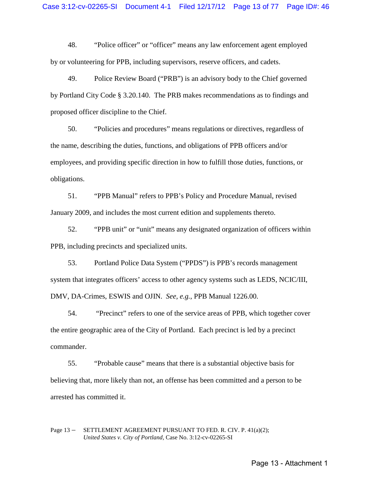48. "Police officer" or "officer" means any law enforcement agent employed by or volunteering for PPB, including supervisors, reserve officers, and cadets.

49. Police Review Board ("PRB") is an advisory body to the Chief governed by Portland City Code § 3.20.140. The PRB makes recommendations as to findings and proposed officer discipline to the Chief.

50. "Policies and procedures" means regulations or directives, regardless of the name, describing the duties, functions, and obligations of PPB officers and/or employees, and providing specific direction in how to fulfill those duties, functions, or obligations.

51. "PPB Manual" refers to PPB's Policy and Procedure Manual, revised January 2009, and includes the most current edition and supplements thereto.

52. "PPB unit" or "unit" means any designated organization of officers within PPB, including precincts and specialized units.

53. Portland Police Data System ("PPDS") is PPB's records management system that integrates officers' access to other agency systems such as LEDS, NCIC/III, DMV, DA-Crimes, ESWIS and OJIN. *See, e.g.*, PPB Manual 1226.00.

54. "Precinct" refers to one of the service areas of PPB, which together cover the entire geographic area of the City of Portland. Each precinct is led by a precinct commander.

55. "Probable cause" means that there is a substantial objective basis for believing that, more likely than not, an offense has been committed and a person to be arrested has committed it.

### Page 13 – SETTLEMENT AGREEMENT PURSUANT TO FED. R. CIV. P. 41(a)(2); *United States v. City of Portland,* Case No. 3:12-cv-02265-SI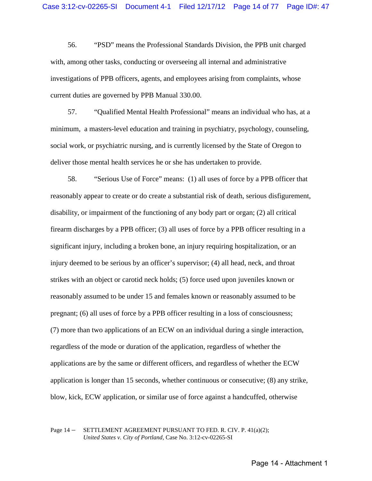56. "PSD" means the Professional Standards Division, the PPB unit charged with, among other tasks, conducting or overseeing all internal and administrative investigations of PPB officers, agents, and employees arising from complaints, whose current duties are governed by PPB Manual 330.00.

57. "Qualified Mental Health Professional" means an individual who has, at a minimum, a masters-level education and training in psychiatry, psychology, counseling, social work, or psychiatric nursing, and is currently licensed by the State of Oregon to deliver those mental health services he or she has undertaken to provide.

58. "Serious Use of Force" means: (1) all uses of force by a PPB officer that reasonably appear to create or do create a substantial risk of death, serious disfigurement, disability, or impairment of the functioning of any body part or organ; (2) all critical firearm discharges by a PPB officer; (3) all uses of force by a PPB officer resulting in a significant injury, including a broken bone, an injury requiring hospitalization, or an injury deemed to be serious by an officer's supervisor; (4) all head, neck, and throat strikes with an object or carotid neck holds; (5) force used upon juveniles known or reasonably assumed to be under 15 and females known or reasonably assumed to be pregnant; (6) all uses of force by a PPB officer resulting in a loss of consciousness; (7) more than two applications of an ECW on an individual during a single interaction, regardless of the mode or duration of the application, regardless of whether the applications are by the same or different officers, and regardless of whether the ECW application is longer than 15 seconds, whether continuous or consecutive; (8) any strike, blow, kick, ECW application, or similar use of force against a handcuffed, otherwise

Page 14 – SETTLEMENT AGREEMENT PURSUANT TO FED. R. CIV. P. 41(a)(2); *United States v. City of Portland,* Case No. 3:12-cv-02265-SI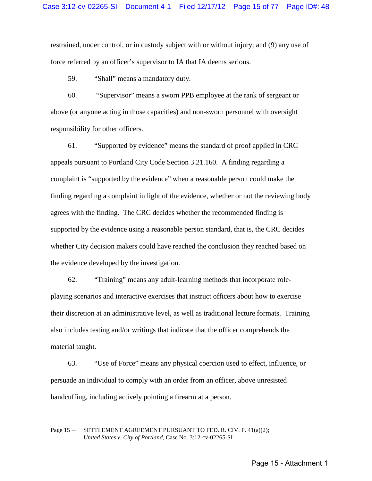restrained, under control, or in custody subject with or without injury; and (9) any use of force referred by an officer's supervisor to IA that IA deems serious.

59. "Shall" means a mandatory duty.

60. "Supervisor" means a sworn PPB employee at the rank of sergeant or above (or anyone acting in those capacities) and non-sworn personnel with oversight responsibility for other officers.

61. "Supported by evidence" means the standard of proof applied in CRC appeals pursuant to Portland City Code Section 3.21.160. A finding regarding a complaint is "supported by the evidence" when a reasonable person could make the finding regarding a complaint in light of the evidence, whether or not the reviewing body agrees with the finding. The CRC decides whether the recommended finding is supported by the evidence using a reasonable person standard, that is, the CRC decides whether City decision makers could have reached the conclusion they reached based on the evidence developed by the investigation.

62. "Training" means any adult-learning methods that incorporate roleplaying scenarios and interactive exercises that instruct officers about how to exercise their discretion at an administrative level, as well as traditional lecture formats. Training also includes testing and/or writings that indicate that the officer comprehends the material taught.

63. "Use of Force" means any physical coercion used to effect, influence, or persuade an individual to comply with an order from an officer, above unresisted handcuffing, including actively pointing a firearm at a person.

### Page 15 – SETTLEMENT AGREEMENT PURSUANT TO FED. R. CIV. P. 41(a)(2); *United States v. City of Portland,* Case No. 3:12-cv-02265-SI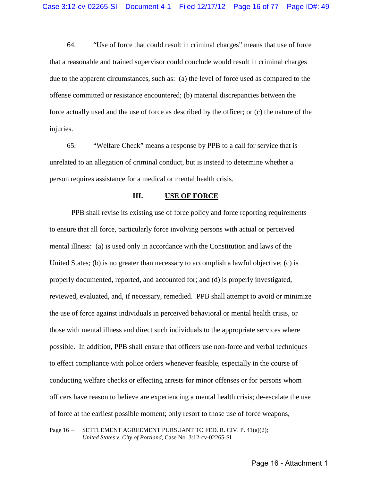64. "Use of force that could result in criminal charges" means that use of force that a reasonable and trained supervisor could conclude would result in criminal charges due to the apparent circumstances, such as: (a) the level of force used as compared to the offense committed or resistance encountered; (b) material discrepancies between the force actually used and the use of force as described by the officer; or (c) the nature of the injuries.

65. "Welfare Check" means a response by PPB to a call for service that is unrelated to an allegation of criminal conduct, but is instead to determine whether a person requires assistance for a medical or mental health crisis.

#### **III. USE OF FORCE**

<span id="page-15-0"></span>PPB shall revise its existing use of force policy and force reporting requirements to ensure that all force, particularly force involving persons with actual or perceived mental illness: (a) is used only in accordance with the Constitution and laws of the United States; (b) is no greater than necessary to accomplish a lawful objective; (c) is properly documented, reported, and accounted for; and (d) is properly investigated, reviewed, evaluated, and, if necessary, remedied. PPB shall attempt to avoid or minimize the use of force against individuals in perceived behavioral or mental health crisis, or those with mental illness and direct such individuals to the appropriate services where possible. In addition, PPB shall ensure that officers use non-force and verbal techniques to effect compliance with police orders whenever feasible, especially in the course of conducting welfare checks or effecting arrests for minor offenses or for persons whom officers have reason to believe are experiencing a mental health crisis; de-escalate the use of force at the earliest possible moment; only resort to those use of force weapons,

Page 16 – SETTLEMENT AGREEMENT PURSUANT TO FED. R. CIV. P. 41(a)(2); *United States v. City of Portland,* Case No. 3:12-cv-02265-SI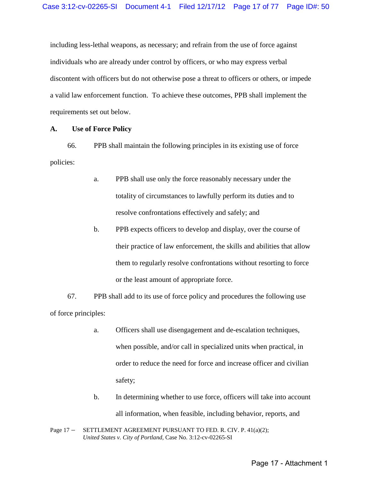including less-lethal weapons, as necessary; and refrain from the use of force against individuals who are already under control by officers, or who may express verbal discontent with officers but do not otherwise pose a threat to officers or others, or impede a valid law enforcement function. To achieve these outcomes, PPB shall implement the requirements set out below.

# <span id="page-16-0"></span>**A. Use of Force Policy**

66. PPB shall maintain the following principles in its existing use of force policies:

- a. PPB shall use only the force reasonably necessary under the totality of circumstances to lawfully perform its duties and to resolve confrontations effectively and safely; and
- b. PPB expects officers to develop and display, over the course of their practice of law enforcement, the skills and abilities that allow them to regularly resolve confrontations without resorting to force or the least amount of appropriate force.

67. PPB shall add to its use of force policy and procedures the following use of force principles:

- a. Officers shall use disengagement and de-escalation techniques, when possible, and/or call in specialized units when practical, in order to reduce the need for force and increase officer and civilian safety;
- b. In determining whether to use force, officers will take into account all information, when feasible, including behavior, reports, and

Page 17 – SETTLEMENT AGREEMENT PURSUANT TO FED. R. CIV. P. 41(a)(2); *United States v. City of Portland,* Case No. 3:12-cv-02265-SI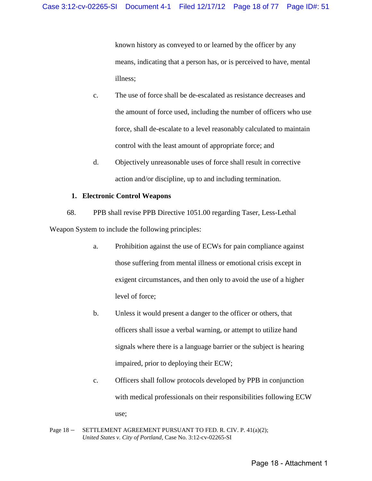known history as conveyed to or learned by the officer by any means, indicating that a person has, or is perceived to have, mental illness;

- c. The use of force shall be de-escalated as resistance decreases and the amount of force used, including the number of officers who use force, shall de-escalate to a level reasonably calculated to maintain control with the least amount of appropriate force; and
- d. Objectively unreasonable uses of force shall result in corrective action and/or discipline, up to and including termination.

# **1. Electronic Control Weapons**

68. PPB shall revise PPB Directive 1051.00 regarding Taser, Less-Lethal Weapon System to include the following principles:

- a. Prohibition against the use of ECWs for pain compliance against those suffering from mental illness or emotional crisis except in exigent circumstances, and then only to avoid the use of a higher level of force;
- b. Unless it would present a danger to the officer or others, that officers shall issue a verbal warning, or attempt to utilize hand signals where there is a language barrier or the subject is hearing impaired, prior to deploying their ECW;
- c. Officers shall follow protocols developed by PPB in conjunction with medical professionals on their responsibilities following ECW use;
- Page 18 SETTLEMENT AGREEMENT PURSUANT TO FED. R. CIV. P. 41(a)(2); *United States v. City of Portland,* Case No. 3:12-cv-02265-SI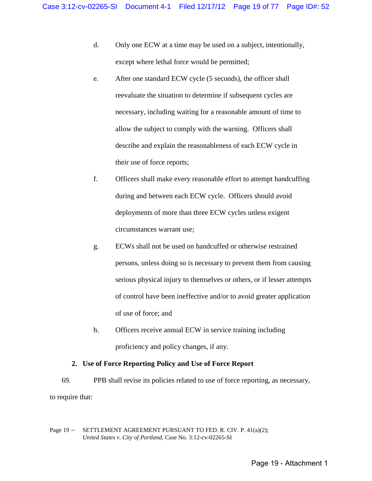- d. Only one ECW at a time may be used on a subject, intentionally, except where lethal force would be permitted;
- e. After one standard ECW cycle (5 seconds), the officer shall reevaluate the situation to determine if subsequent cycles are necessary, including waiting for a reasonable amount of time to allow the subject to comply with the warning. Officers shall describe and explain the reasonableness of each ECW cycle in their use of force reports;
- f. Officers shall make every reasonable effort to attempt handcuffing during and between each ECW cycle. Officers should avoid deployments of more than three ECW cycles unless exigent circumstances warrant use;
- g. ECWs shall not be used on handcuffed or otherwise restrained persons, unless doing so is necessary to prevent them from causing serious physical injury to themselves or others, or if lesser attempts of control have been ineffective and/or to avoid greater application of use of force; and
- h. Officers receive annual ECW in service training including proficiency and policy changes, if any.

# **2. Use of Force Reporting Policy and Use of Force Report**

69. PPB shall revise its policies related to use of force reporting, as necessary, to require that:

Page 19 - SETTLEMENT AGREEMENT PURSUANT TO FED. R. CIV. P. 41(a)(2); *United States v. City of Portland,* Case No. 3:12-cv-02265-SI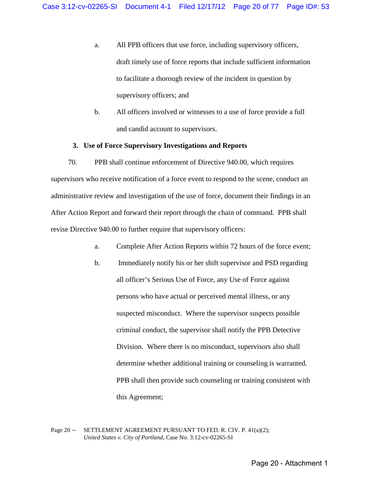- a. All PPB officers that use force, including supervisory officers, draft timely use of force reports that include sufficient information to facilitate a thorough review of the incident in question by supervisory officers; and
- b. All officers involved or witnesses to a use of force provide a full and candid account to supervisors.

### **3. Use of Force Supervisory Investigations and Reports**

70. PPB shall continue enforcement of Directive 940.00, which requires supervisors who receive notification of a force event to respond to the scene, conduct an administrative review and investigation of the use of force, document their findings in an After Action Report and forward their report through the chain of command. PPB shall revise Directive 940.00 to further require that supervisory officers:

- a. Complete After Action Reports within 72 hours of the force event;
- b. Immediately notify his or her shift supervisor and PSD regarding all officer's Serious Use of Force, any Use of Force against persons who have actual or perceived mental illness, or any suspected misconduct. Where the supervisor suspects possible criminal conduct, the supervisor shall notify the PPB Detective Division. Where there is no misconduct, supervisors also shall determine whether additional training or counseling is warranted. PPB shall then provide such counseling or training consistent with this Agreement;

Page 20 – SETTLEMENT AGREEMENT PURSUANT TO FED. R. CIV. P. 41(a)(2); *United States v. City of Portland,* Case No. 3:12-cv-02265-SI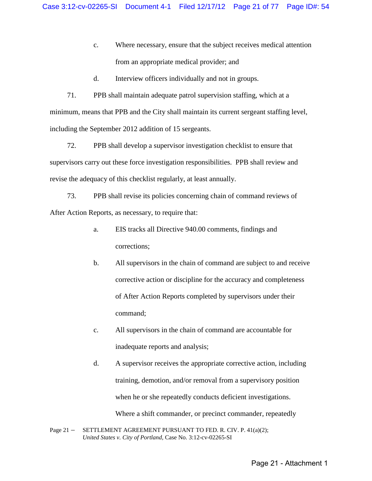- c. Where necessary, ensure that the subject receives medical attention from an appropriate medical provider; and
- d. Interview officers individually and not in groups.

71. PPB shall maintain adequate patrol supervision staffing, which at a minimum, means that PPB and the City shall maintain its current sergeant staffing level, including the September 2012 addition of 15 sergeants.

72. PPB shall develop a supervisor investigation checklist to ensure that supervisors carry out these force investigation responsibilities. PPB shall review and revise the adequacy of this checklist regularly, at least annually.

73. PPB shall revise its policies concerning chain of command reviews of After Action Reports, as necessary, to require that:

- a. EIS tracks all Directive 940.00 comments, findings and corrections;
- b. All supervisors in the chain of command are subject to and receive corrective action or discipline for the accuracy and completeness of After Action Reports completed by supervisors under their command;
- c. All supervisors in the chain of command are accountable for inadequate reports and analysis;
- d. A supervisor receives the appropriate corrective action, including training, demotion, and/or removal from a supervisory position when he or she repeatedly conducts deficient investigations. Where a shift commander, or precinct commander, repeatedly
- Page 21 SETTLEMENT AGREEMENT PURSUANT TO FED. R. CIV. P. 41(a)(2); *United States v. City of Portland,* Case No. 3:12-cv-02265-SI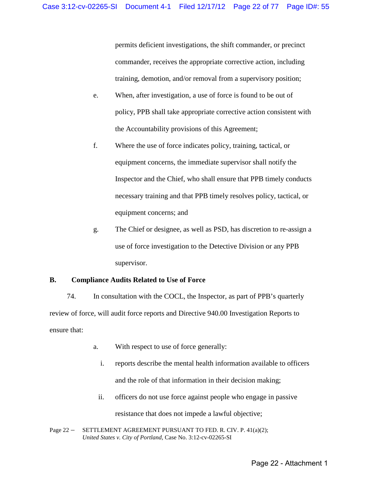permits deficient investigations, the shift commander, or precinct commander, receives the appropriate corrective action, including training, demotion, and/or removal from a supervisory position;

- e. When, after investigation, a use of force is found to be out of policy, PPB shall take appropriate corrective action consistent with the Accountability provisions of this Agreement;
- f. Where the use of force indicates policy, training, tactical, or equipment concerns, the immediate supervisor shall notify the Inspector and the Chief, who shall ensure that PPB timely conducts necessary training and that PPB timely resolves policy, tactical, or equipment concerns; and
- g. The Chief or designee, as well as PSD, has discretion to re-assign a use of force investigation to the Detective Division or any PPB supervisor.

# <span id="page-21-0"></span>**B. Compliance Audits Related to Use of Force**

74. In consultation with the COCL, the Inspector, as part of PPB's quarterly review of force, will audit force reports and Directive 940.00 Investigation Reports to ensure that:

- a. With respect to use of force generally:
	- i. reports describe the mental health information available to officers and the role of that information in their decision making;
	- ii. officers do not use force against people who engage in passive resistance that does not impede a lawful objective;
- Page 22 SETTLEMENT AGREEMENT PURSUANT TO FED. R. CIV. P. 41(a)(2); *United States v. City of Portland,* Case No. 3:12-cv-02265-SI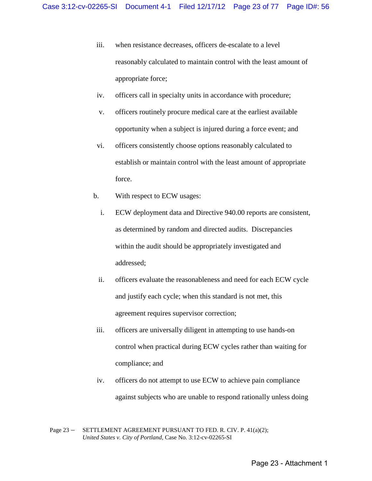- iii. when resistance decreases, officers de-escalate to a level reasonably calculated to maintain control with the least amount of appropriate force;
- iv. officers call in specialty units in accordance with procedure;
- v. officers routinely procure medical care at the earliest available opportunity when a subject is injured during a force event; and
- vi. officers consistently choose options reasonably calculated to establish or maintain control with the least amount of appropriate force.
- b. With respect to ECW usages:
	- i. ECW deployment data and Directive 940.00 reports are consistent, as determined by random and directed audits. Discrepancies within the audit should be appropriately investigated and addressed;
	- ii. officers evaluate the reasonableness and need for each ECW cycle and justify each cycle; when this standard is not met, this agreement requires supervisor correction;
- iii. officers are universally diligent in attempting to use hands-on control when practical during ECW cycles rather than waiting for compliance; and
- iv. officers do not attempt to use ECW to achieve pain compliance against subjects who are unable to respond rationally unless doing

Page 23 - SETTLEMENT AGREEMENT PURSUANT TO FED. R. CIV. P. 41(a)(2); *United States v. City of Portland,* Case No. 3:12-cv-02265-SI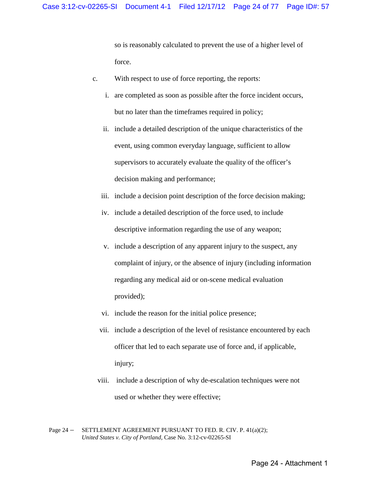so is reasonably calculated to prevent the use of a higher level of force.

- c. With respect to use of force reporting, the reports:
	- i. are completed as soon as possible after the force incident occurs, but no later than the timeframes required in policy;
	- ii. include a detailed description of the unique characteristics of the event, using common everyday language, sufficient to allow supervisors to accurately evaluate the quality of the officer's decision making and performance;
	- iii. include a decision point description of the force decision making;
	- iv. include a detailed description of the force used, to include descriptive information regarding the use of any weapon;
	- v. include a description of any apparent injury to the suspect, any complaint of injury, or the absence of injury (including information regarding any medical aid or on-scene medical evaluation provided);
	- vi. include the reason for the initial police presence;
	- vii. include a description of the level of resistance encountered by each officer that led to each separate use of force and, if applicable, injury;
	- viii. include a description of why de-escalation techniques were not used or whether they were effective;

Page 24 – SETTLEMENT AGREEMENT PURSUANT TO FED. R. CIV. P. 41(a)(2); *United States v. City of Portland,* Case No. 3:12-cv-02265-SI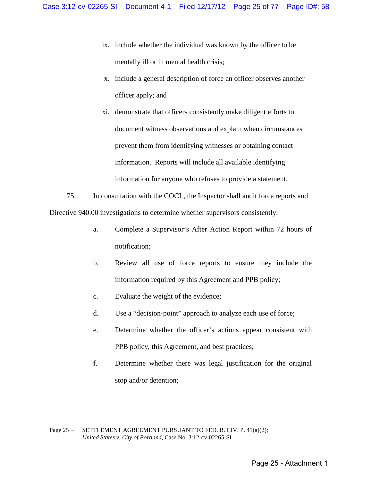- ix. include whether the individual was known by the officer to be mentally ill or in mental health crisis;
- x. include a general description of force an officer observes another officer apply; and
- xi. demonstrate that officers consistently make diligent efforts to document witness observations and explain when circumstances prevent them from identifying witnesses or obtaining contact information. Reports will include all available identifying information for anyone who refuses to provide a statement.
- 75. In consultation with the COCL, the Inspector shall audit force reports and Directive 940.00 investigations to determine whether supervisors consistently:
	- a. Complete a Supervisor's After Action Report within 72 hours of notification;
	- b. Review all use of force reports to ensure they include the information required by this Agreement and PPB policy;
	- c. Evaluate the weight of the evidence;
	- d. Use a "decision-point" approach to analyze each use of force;
	- e. Determine whether the officer's actions appear consistent with PPB policy, this Agreement, and best practices;
	- f. Determine whether there was legal justification for the original stop and/or detention;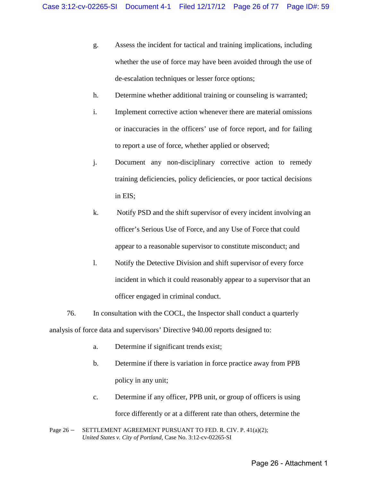- g. Assess the incident for tactical and training implications, including whether the use of force may have been avoided through the use of de-escalation techniques or lesser force options;
- h. Determine whether additional training or counseling is warranted;
- i. Implement corrective action whenever there are material omissions or inaccuracies in the officers' use of force report, and for failing to report a use of force, whether applied or observed;
- j. Document any non-disciplinary corrective action to remedy training deficiencies, policy deficiencies, or poor tactical decisions in EIS;
- k. Notify PSD and the shift supervisor of every incident involving an officer's Serious Use of Force, and any Use of Force that could appear to a reasonable supervisor to constitute misconduct; and
- l. Notify the Detective Division and shift supervisor of every force incident in which it could reasonably appear to a supervisor that an officer engaged in criminal conduct.
- 76. In consultation with the COCL, the Inspector shall conduct a quarterly analysis of force data and supervisors' Directive 940.00 reports designed to:
	- a. Determine if significant trends exist;
	- b. Determine if there is variation in force practice away from PPB policy in any unit;
	- c. Determine if any officer, PPB unit, or group of officers is using force differently or at a different rate than others, determine the
- Page 26 SETTLEMENT AGREEMENT PURSUANT TO FED. R. CIV. P. 41(a)(2); *United States v. City of Portland,* Case No. 3:12-cv-02265-SI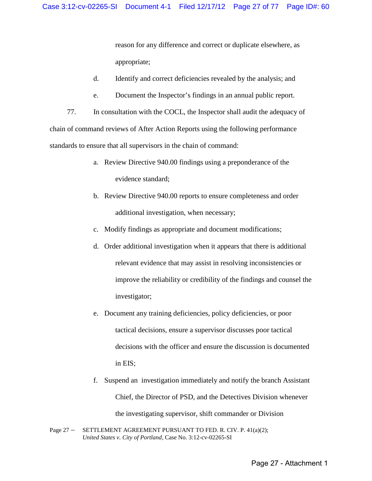reason for any difference and correct or duplicate elsewhere, as appropriate;

- d. Identify and correct deficiencies revealed by the analysis; and
- e. Document the Inspector's findings in an annual public report.

77. In consultation with the COCL, the Inspector shall audit the adequacy of chain of command reviews of After Action Reports using the following performance standards to ensure that all supervisors in the chain of command:

- a. Review Directive 940.00 findings using a preponderance of the evidence standard;
- b. Review Directive 940.00 reports to ensure completeness and order additional investigation, when necessary;
- c. Modify findings as appropriate and document modifications;
- d. Order additional investigation when it appears that there is additional relevant evidence that may assist in resolving inconsistencies or improve the reliability or credibility of the findings and counsel the investigator;
- e. Document any training deficiencies, policy deficiencies, or poor tactical decisions, ensure a supervisor discusses poor tactical decisions with the officer and ensure the discussion is documented in EIS;
- f. Suspend an investigation immediately and notify the branch Assistant Chief, the Director of PSD, and the Detectives Division whenever the investigating supervisor, shift commander or Division
- Page 27 SETTLEMENT AGREEMENT PURSUANT TO FED. R. CIV. P. 41(a)(2); *United States v. City of Portland,* Case No. 3:12-cv-02265-SI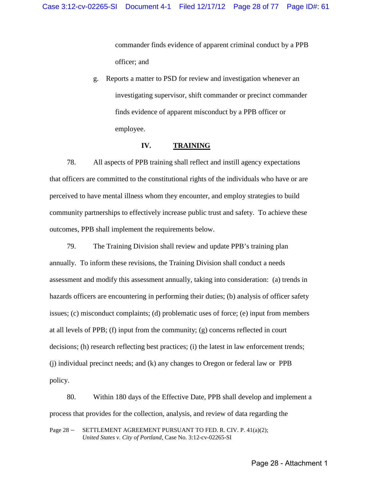commander finds evidence of apparent criminal conduct by a PPB officer; and

g. Reports a matter to PSD for review and investigation whenever an investigating supervisor, shift commander or precinct commander finds evidence of apparent misconduct by a PPB officer or employee.

#### **IV. TRAINING**

<span id="page-27-0"></span>78. All aspects of PPB training shall reflect and instill agency expectations that officers are committed to the constitutional rights of the individuals who have or are perceived to have mental illness whom they encounter, and employ strategies to build community partnerships to effectively increase public trust and safety. To achieve these outcomes, PPB shall implement the requirements below.

79. The Training Division shall review and update PPB's training plan annually. To inform these revisions, the Training Division shall conduct a needs assessment and modify this assessment annually, taking into consideration: (a) trends in hazards officers are encountering in performing their duties; (b) analysis of officer safety issues; (c) misconduct complaints; (d) problematic uses of force; (e) input from members at all levels of PPB; (f) input from the community; (g) concerns reflected in court decisions; (h) research reflecting best practices; (i) the latest in law enforcement trends; (j) individual precinct needs; and (k) any changes to Oregon or federal law or PPB policy.

80. Within 180 days of the Effective Date, PPB shall develop and implement a process that provides for the collection, analysis, and review of data regarding the

Page 28 – SETTLEMENT AGREEMENT PURSUANT TO FED. R. CIV. P. 41(a)(2); *United States v. City of Portland,* Case No. 3:12-cv-02265-SI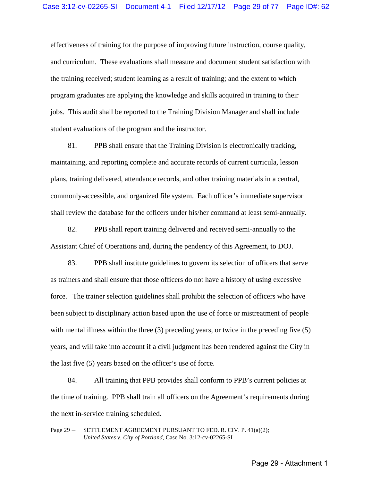effectiveness of training for the purpose of improving future instruction, course quality, and curriculum. These evaluations shall measure and document student satisfaction with the training received; student learning as a result of training; and the extent to which program graduates are applying the knowledge and skills acquired in training to their jobs. This audit shall be reported to the Training Division Manager and shall include student evaluations of the program and the instructor.

81. PPB shall ensure that the Training Division is electronically tracking, maintaining, and reporting complete and accurate records of current curricula, lesson plans, training delivered, attendance records, and other training materials in a central, commonly-accessible, and organized file system. Each officer's immediate supervisor shall review the database for the officers under his/her command at least semi-annually.

82. PPB shall report training delivered and received semi-annually to the Assistant Chief of Operations and, during the pendency of this Agreement, to DOJ.

83. PPB shall institute guidelines to govern its selection of officers that serve as trainers and shall ensure that those officers do not have a history of using excessive force. The trainer selection guidelines shall prohibit the selection of officers who have been subject to disciplinary action based upon the use of force or mistreatment of people with mental illness within the three (3) preceding years, or twice in the preceding five (5) years, and will take into account if a civil judgment has been rendered against the City in the last five (5) years based on the officer's use of force.

84. All training that PPB provides shall conform to PPB's current policies at the time of training. PPB shall train all officers on the Agreement's requirements during the next in-service training scheduled.

Page 29 – SETTLEMENT AGREEMENT PURSUANT TO FED. R. CIV. P. 41(a)(2); *United States v. City of Portland,* Case No. 3:12-cv-02265-SI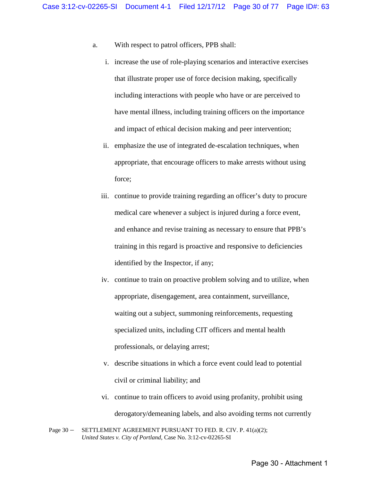- a. With respect to patrol officers, PPB shall:
	- i. increase the use of role-playing scenarios and interactive exercises that illustrate proper use of force decision making, specifically including interactions with people who have or are perceived to have mental illness, including training officers on the importance and impact of ethical decision making and peer intervention;
	- ii. emphasize the use of integrated de-escalation techniques, when appropriate, that encourage officers to make arrests without using force;
	- iii. continue to provide training regarding an officer's duty to procure medical care whenever a subject is injured during a force event, and enhance and revise training as necessary to ensure that PPB's training in this regard is proactive and responsive to deficiencies identified by the Inspector, if any;
	- iv. continue to train on proactive problem solving and to utilize, when appropriate, disengagement, area containment, surveillance, waiting out a subject, summoning reinforcements, requesting specialized units, including CIT officers and mental health professionals, or delaying arrest;
	- v. describe situations in which a force event could lead to potential civil or criminal liability; and
	- vi. continue to train officers to avoid using profanity, prohibit using derogatory/demeaning labels, and also avoiding terms not currently
- Page 30 SETTLEMENT AGREEMENT PURSUANT TO FED. R. CIV. P. 41(a)(2); *United States v. City of Portland,* Case No. 3:12-cv-02265-SI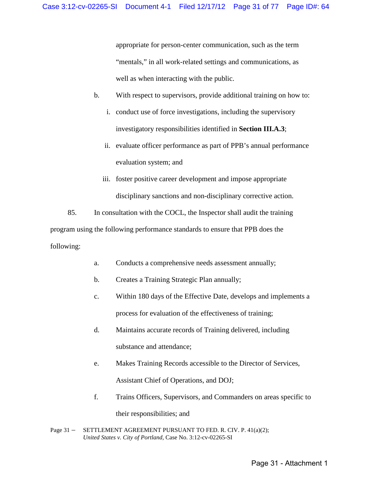appropriate for person-center communication, such as the term "mentals," in all work-related settings and communications, as well as when interacting with the public.

- b. With respect to supervisors, provide additional training on how to:
	- i. conduct use of force investigations, including the supervisory investigatory responsibilities identified in **Section III.A.3**;
	- ii. evaluate officer performance as part of PPB's annual performance evaluation system; and
	- iii. foster positive career development and impose appropriate disciplinary sanctions and non-disciplinary corrective action.

85. In consultation with the COCL, the Inspector shall audit the training program using the following performance standards to ensure that PPB does the following:

- a. Conducts a comprehensive needs assessment annually;
- b. Creates a Training Strategic Plan annually;
- c. Within 180 days of the Effective Date, develops and implements a process for evaluation of the effectiveness of training;
- d. Maintains accurate records of Training delivered, including substance and attendance;
- e. Makes Training Records accessible to the Director of Services, Assistant Chief of Operations, and DOJ;
- f. Trains Officers, Supervisors, and Commanders on areas specific to

their responsibilities; and

Page 31 – SETTLEMENT AGREEMENT PURSUANT TO FED. R. CIV. P. 41(a)(2); *United States v. City of Portland,* Case No. 3:12-cv-02265-SI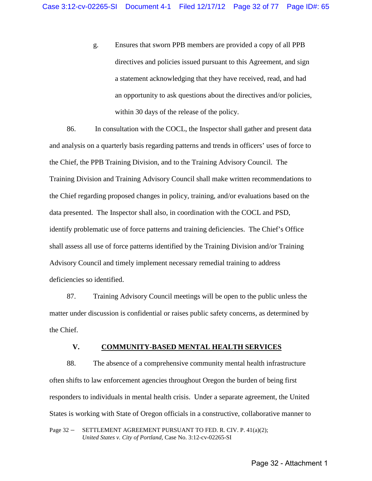g. Ensures that sworn PPB members are provided a copy of all PPB directives and policies issued pursuant to this Agreement, and sign a statement acknowledging that they have received, read, and had an opportunity to ask questions about the directives and/or policies, within 30 days of the release of the policy.

86. In consultation with the COCL, the Inspector shall gather and present data and analysis on a quarterly basis regarding patterns and trends in officers' uses of force to the Chief, the PPB Training Division, and to the Training Advisory Council. The Training Division and Training Advisory Council shall make written recommendations to the Chief regarding proposed changes in policy, training, and/or evaluations based on the data presented. The Inspector shall also, in coordination with the COCL and PSD, identify problematic use of force patterns and training deficiencies. The Chief's Office shall assess all use of force patterns identified by the Training Division and/or Training Advisory Council and timely implement necessary remedial training to address deficiencies so identified.

87. Training Advisory Council meetings will be open to the public unless the matter under discussion is confidential or raises public safety concerns, as determined by the Chief.

#### **V. COMMUNITY-BASED MENTAL HEALTH SERVICES**

<span id="page-31-0"></span>88. The absence of a comprehensive community mental health infrastructure often shifts to law enforcement agencies throughout Oregon the burden of being first responders to individuals in mental health crisis. Under a separate agreement, the United States is working with State of Oregon officials in a constructive, collaborative manner to

Page 32 - SETTLEMENT AGREEMENT PURSUANT TO FED. R. CIV. P. 41(a)(2); *United States v. City of Portland,* Case No. 3:12-cv-02265-SI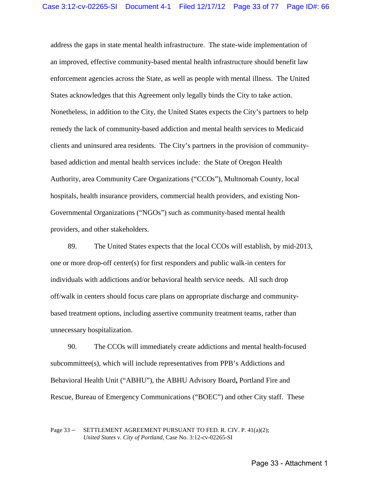address the gaps in state mental health infrastructure. The state-wide implementation of an improved, effective community-based mental health infrastructure should benefit law enforcement agencies across the State, as well as people with mental illness. The United States acknowledges that this Agreement only legally binds the City to take action. Nonetheless, in addition to the City, the United States expects the City's partners to help remedy the lack of community-based addiction and mental health services to Medicaid clients and uninsured area residents. The City's partners in the provision of communitybased addiction and mental health services include: the State of Oregon Health Authority, area Community Care Organizations ("CCOs"), Multnomah County, local hospitals, health insurance providers, commercial health providers, and existing Non-Governmental Organizations ("NGOs") such as community-based mental health providers, and other stakeholders.

89. The United States expects that the local CCOs will establish, by mid-2013, one or more drop-off center(s) for first responders and public walk-in centers for individuals with addictions and/or behavioral health service needs. All such drop off/walk in centers should focus care plans on appropriate discharge and communitybased treatment options, including assertive community treatment teams, rather than unnecessary hospitalization.

90. The CCOs will immediately create addictions and mental health-focused subcommittee(s), which will include representatives from PPB's Addictions and Behavioral Health Unit ("ABHU"), the ABHU Advisory Board**,** Portland Fire and Rescue, Bureau of Emergency Communications ("BOEC") and other City staff. These

Page 33 – SETTLEMENT AGREEMENT PURSUANT TO FED. R. CIV. P. 41(a)(2); *United States v. City of Portland,* Case No. 3:12-cv-02265-SI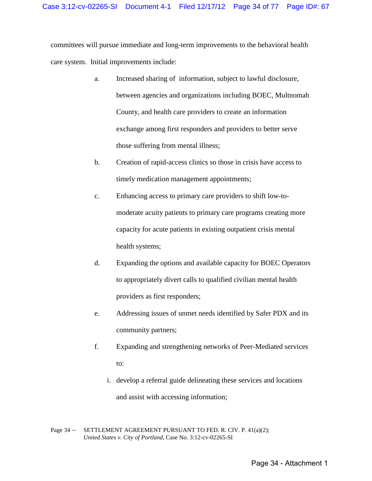committees will pursue immediate and long-term improvements to the behavioral health care system. Initial improvements include:

- a. Increased sharing of information, subject to lawful disclosure, between agencies and organizations including BOEC, Multnomah County, and health care providers to create an information exchange among first responders and providers to better serve those suffering from mental illness;
- b. Creation of rapid-access clinics so those in crisis have access to timely medication management appointments;
- c. Enhancing access to primary care providers to shift low-tomoderate acuity patients to primary care programs creating more capacity for acute patients in existing outpatient crisis mental health systems;
- d. Expanding the options and available capacity for BOEC Operators to appropriately divert calls to qualified civilian mental health providers as first responders;
- e. Addressing issues of unmet needs identified by Safer PDX and its community partners;
- f. Expanding and strengthening networks of Peer-Mediated services to:
	- i. develop a referral guide delineating these services and locations and assist with accessing information;

Page 34 – SETTLEMENT AGREEMENT PURSUANT TO FED. R. CIV. P. 41(a)(2); *United States v. City of Portland,* Case No. 3:12-cv-02265-SI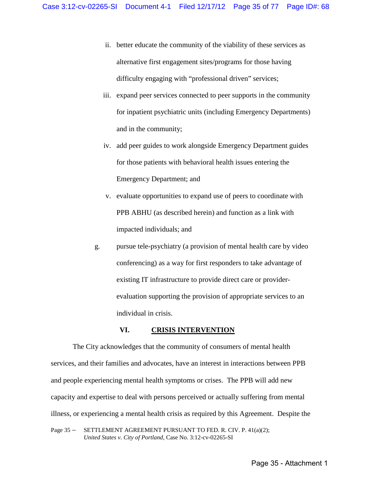- ii. better educate the community of the viability of these services as alternative first engagement sites/programs for those having difficulty engaging with "professional driven" services;
- iii. expand peer services connected to peer supports in the community for inpatient psychiatric units (including Emergency Departments) and in the community;
- iv. add peer guides to work alongside Emergency Department guides for those patients with behavioral health issues entering the Emergency Department; and
- v. evaluate opportunities to expand use of peers to coordinate with PPB ABHU (as described herein) and function as a link with impacted individuals; and
- g. pursue tele-psychiatry (a provision of mental health care by video conferencing) as a way for first responders to take advantage of existing IT infrastructure to provide direct care or providerevaluation supporting the provision of appropriate services to an individual in crisis.

#### **VI. CRISIS INTERVENTION**

<span id="page-34-0"></span> The City acknowledges that the community of consumers of mental health services, and their families and advocates, have an interest in interactions between PPB and people experiencing mental health symptoms or crises. The PPB will add new capacity and expertise to deal with persons perceived or actually suffering from mental illness, or experiencing a mental health crisis as required by this Agreement. Despite the

Page 35 – SETTLEMENT AGREEMENT PURSUANT TO FED. R. CIV. P. 41(a)(2); *United States v. City of Portland,* Case No. 3:12-cv-02265-SI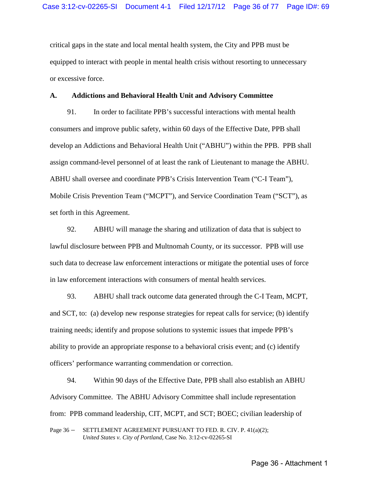critical gaps in the state and local mental health system, the City and PPB must be equipped to interact with people in mental health crisis without resorting to unnecessary or excessive force.

### <span id="page-35-0"></span>**A. Addictions and Behavioral Health Unit and Advisory Committee**

91. In order to facilitate PPB's successful interactions with mental health consumers and improve public safety, within 60 days of the Effective Date, PPB shall develop an Addictions and Behavioral Health Unit ("ABHU") within the PPB. PPB shall assign command-level personnel of at least the rank of Lieutenant to manage the ABHU. ABHU shall oversee and coordinate PPB's Crisis Intervention Team ("C-I Team"), Mobile Crisis Prevention Team ("MCPT"), and Service Coordination Team ("SCT"), as set forth in this Agreement.

92. ABHU will manage the sharing and utilization of data that is subject to lawful disclosure between PPB and Multnomah County, or its successor. PPB will use such data to decrease law enforcement interactions or mitigate the potential uses of force in law enforcement interactions with consumers of mental health services.

93. ABHU shall track outcome data generated through the C-I Team, MCPT, and SCT, to: (a) develop new response strategies for repeat calls for service; (b) identify training needs; identify and propose solutions to systemic issues that impede PPB's ability to provide an appropriate response to a behavioral crisis event; and (c) identify officers' performance warranting commendation or correction.

94. Within 90 days of the Effective Date, PPB shall also establish an ABHU Advisory Committee. The ABHU Advisory Committee shall include representation from: PPB command leadership, CIT, MCPT, and SCT; BOEC; civilian leadership of

Page 36 - SETTLEMENT AGREEMENT PURSUANT TO FED. R. CIV. P. 41(a)(2); *United States v. City of Portland,* Case No. 3:12-cv-02265-SI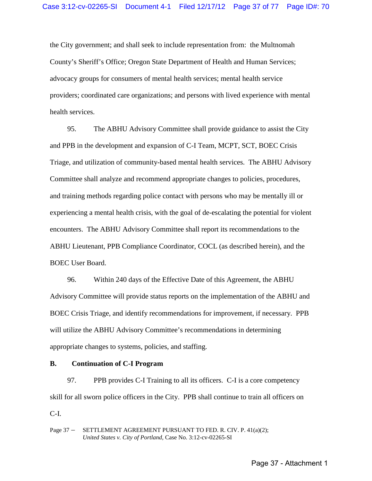the City government; and shall seek to include representation from: the Multnomah County's Sheriff's Office; Oregon State Department of Health and Human Services; advocacy groups for consumers of mental health services; mental health service providers; coordinated care organizations; and persons with lived experience with mental health services.

95. The ABHU Advisory Committee shall provide guidance to assist the City and PPB in the development and expansion of C-I Team, MCPT, SCT, BOEC Crisis Triage, and utilization of community-based mental health services. The ABHU Advisory Committee shall analyze and recommend appropriate changes to policies, procedures, and training methods regarding police contact with persons who may be mentally ill or experiencing a mental health crisis, with the goal of de-escalating the potential for violent encounters. The ABHU Advisory Committee shall report its recommendations to the ABHU Lieutenant, PPB Compliance Coordinator, COCL (as described herein), and the BOEC User Board.

96. Within 240 days of the Effective Date of this Agreement, the ABHU Advisory Committee will provide status reports on the implementation of the ABHU and BOEC Crisis Triage, and identify recommendations for improvement, if necessary. PPB will utilize the ABHU Advisory Committee's recommendations in determining appropriate changes to systems, policies, and staffing.

## **B. Continuation of C-I Program**

97. PPB provides C-I Training to all its officers. C-I is a core competency skill for all sworn police officers in the City. PPB shall continue to train all officers on C-I.

Page 37 - SETTLEMENT AGREEMENT PURSUANT TO FED. R. CIV. P. 41(a)(2); *United States v. City of Portland,* Case No. 3:12-cv-02265-SI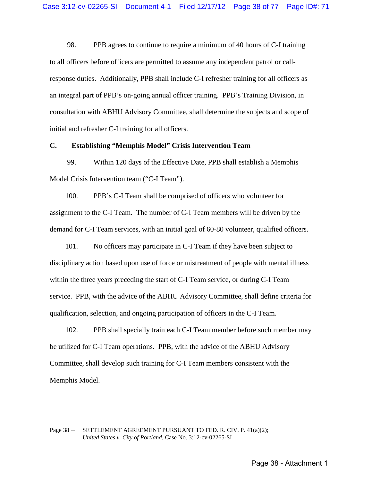98. PPB agrees to continue to require a minimum of 40 hours of C-I training to all officers before officers are permitted to assume any independent patrol or callresponse duties. Additionally, PPB shall include C-I refresher training for all officers as an integral part of PPB's on-going annual officer training. PPB's Training Division, in consultation with ABHU Advisory Committee, shall determine the subjects and scope of initial and refresher C-I training for all officers.

#### **C. Establishing "Memphis Model" Crisis Intervention Team**

99. Within 120 days of the Effective Date, PPB shall establish a Memphis Model Crisis Intervention team ("C-I Team").

100. PPB's C-I Team shall be comprised of officers who volunteer for assignment to the C-I Team. The number of C-I Team members will be driven by the demand for C-I Team services, with an initial goal of 60-80 volunteer, qualified officers.

101. No officers may participate in C-I Team if they have been subject to disciplinary action based upon use of force or mistreatment of people with mental illness within the three years preceding the start of C-I Team service, or during C-I Team service. PPB, with the advice of the ABHU Advisory Committee, shall define criteria for qualification, selection, and ongoing participation of officers in the C-I Team.

102. PPB shall specially train each C-I Team member before such member may be utilized for C-I Team operations. PPB, with the advice of the ABHU Advisory Committee, shall develop such training for C-I Team members consistent with the Memphis Model.

#### Page 38 – SETTLEMENT AGREEMENT PURSUANT TO FED. R. CIV. P. 41(a)(2); *United States v. City of Portland,* Case No. 3:12-cv-02265-SI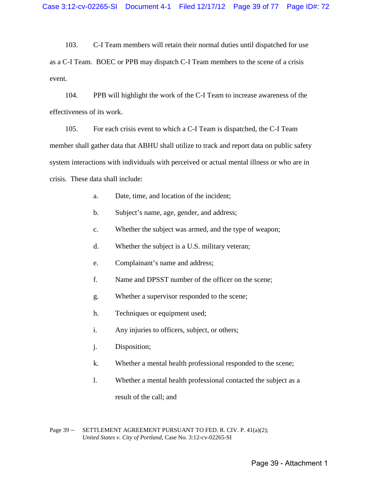103. C-I Team members will retain their normal duties until dispatched for use as a C-I Team. BOEC or PPB may dispatch C-I Team members to the scene of a crisis event.

104. PPB will highlight the work of the C-I Team to increase awareness of the effectiveness of its work.

105. For each crisis event to which a C-I Team is dispatched, the C-I Team member shall gather data that ABHU shall utilize to track and report data on public safety system interactions with individuals with perceived or actual mental illness or who are in crisis. These data shall include:

- a. Date, time, and location of the incident;
- b. Subject's name, age, gender, and address;
- c. Whether the subject was armed, and the type of weapon;
- d. Whether the subject is a U.S. military veteran;
- e. Complainant's name and address;
- f. Name and DPSST number of the officer on the scene;
- g. Whether a supervisor responded to the scene;
- h. Techniques or equipment used;
- i. Any injuries to officers, subject, or others;
- j. Disposition;
- k. Whether a mental health professional responded to the scene;
- l. Whether a mental health professional contacted the subject as a result of the call; and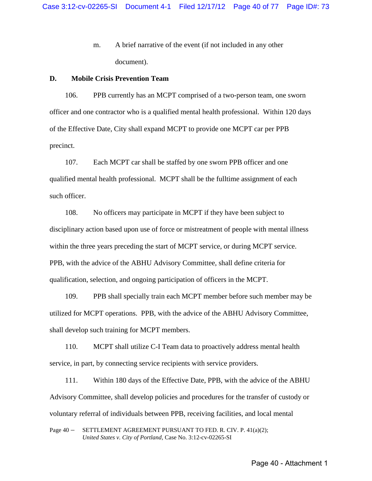m. A brief narrative of the event (if not included in any other document).

## **D. Mobile Crisis Prevention Team**

106. PPB currently has an MCPT comprised of a two-person team, one sworn officer and one contractor who is a qualified mental health professional. Within 120 days of the Effective Date, City shall expand MCPT to provide one MCPT car per PPB precinct.

107. Each MCPT car shall be staffed by one sworn PPB officer and one qualified mental health professional. MCPT shall be the fulltime assignment of each such officer.

108. No officers may participate in MCPT if they have been subject to disciplinary action based upon use of force or mistreatment of people with mental illness within the three years preceding the start of MCPT service, or during MCPT service. PPB, with the advice of the ABHU Advisory Committee, shall define criteria for qualification, selection, and ongoing participation of officers in the MCPT.

109. PPB shall specially train each MCPT member before such member may be utilized for MCPT operations. PPB, with the advice of the ABHU Advisory Committee, shall develop such training for MCPT members.

110. MCPT shall utilize C-I Team data to proactively address mental health service, in part, by connecting service recipients with service providers.

111. Within 180 days of the Effective Date, PPB, with the advice of the ABHU Advisory Committee, shall develop policies and procedures for the transfer of custody or voluntary referral of individuals between PPB, receiving facilities, and local mental

Page 40 – SETTLEMENT AGREEMENT PURSUANT TO FED. R. CIV. P. 41(a)(2); *United States v. City of Portland,* Case No. 3:12-cv-02265-SI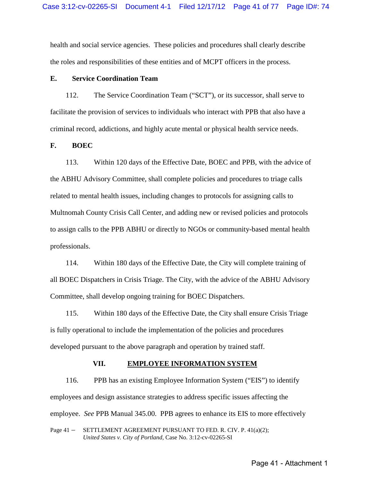health and social service agencies. These policies and procedures shall clearly describe the roles and responsibilities of these entities and of MCPT officers in the process.

## **E. Service Coordination Team**

112. The Service Coordination Team ("SCT"), or its successor, shall serve to facilitate the provision of services to individuals who interact with PPB that also have a criminal record, addictions, and highly acute mental or physical health service needs.

#### **F. BOEC**

113. Within 120 days of the Effective Date, BOEC and PPB, with the advice of the ABHU Advisory Committee, shall complete policies and procedures to triage calls related to mental health issues, including changes to protocols for assigning calls to Multnomah County Crisis Call Center, and adding new or revised policies and protocols to assign calls to the PPB ABHU or directly to NGOs or community-based mental health professionals.

114. Within 180 days of the Effective Date, the City will complete training of all BOEC Dispatchers in Crisis Triage. The City, with the advice of the ABHU Advisory Committee, shall develop ongoing training for BOEC Dispatchers.

115. Within 180 days of the Effective Date, the City shall ensure Crisis Triage is fully operational to include the implementation of the policies and procedures developed pursuant to the above paragraph and operation by trained staff.

#### **VII. EMPLOYEE INFORMATION SYSTEM**

Page 41 – SETTLEMENT AGREEMENT PURSUANT TO FED. R. CIV. P. 41(a)(2); *United States v. City of Portland,* Case No. 3:12-cv-02265-SI 116. PPB has an existing Employee Information System ("EIS") to identify employees and design assistance strategies to address specific issues affecting the employee. *See* PPB Manual 345.00. PPB agrees to enhance its EIS to more effectively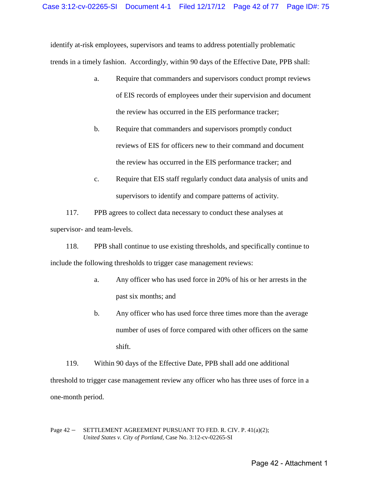identify at-risk employees, supervisors and teams to address potentially problematic trends in a timely fashion. Accordingly, within 90 days of the Effective Date, PPB shall:

- a. Require that commanders and supervisors conduct prompt reviews of EIS records of employees under their supervision and document the review has occurred in the EIS performance tracker;
- b. Require that commanders and supervisors promptly conduct reviews of EIS for officers new to their command and document the review has occurred in the EIS performance tracker; and
- c. Require that EIS staff regularly conduct data analysis of units and supervisors to identify and compare patterns of activity.

117. PPB agrees to collect data necessary to conduct these analyses at supervisor- and team-levels.

118. PPB shall continue to use existing thresholds, and specifically continue to include the following thresholds to trigger case management reviews:

- a. Any officer who has used force in 20% of his or her arrests in the past six months; and
- b. Any officer who has used force three times more than the average number of uses of force compared with other officers on the same shift.

119. Within 90 days of the Effective Date, PPB shall add one additional threshold to trigger case management review any officer who has three uses of force in a one-month period.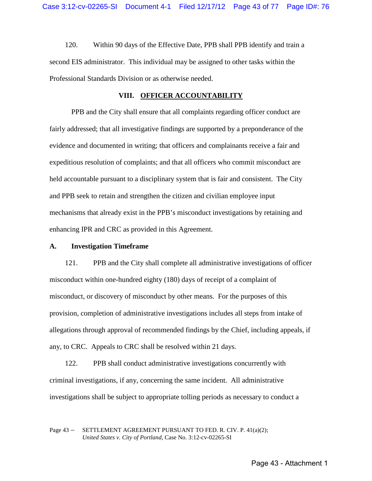120. Within 90 days of the Effective Date, PPB shall PPB identify and train a second EIS administrator. This individual may be assigned to other tasks within the Professional Standards Division or as otherwise needed.

## **VIII. OFFICER ACCOUNTABILITY**

PPB and the City shall ensure that all complaints regarding officer conduct are fairly addressed; that all investigative findings are supported by a preponderance of the evidence and documented in writing; that officers and complainants receive a fair and expeditious resolution of complaints; and that all officers who commit misconduct are held accountable pursuant to a disciplinary system that is fair and consistent. The City and PPB seek to retain and strengthen the citizen and civilian employee input mechanisms that already exist in the PPB's misconduct investigations by retaining and enhancing IPR and CRC as provided in this Agreement.

### **A. Investigation Timeframe**

121. PPB and the City shall complete all administrative investigations of officer misconduct within one-hundred eighty (180) days of receipt of a complaint of misconduct, or discovery of misconduct by other means. For the purposes of this provision, completion of administrative investigations includes all steps from intake of allegations through approval of recommended findings by the Chief, including appeals, if any, to CRC. Appeals to CRC shall be resolved within 21 days.

122. PPB shall conduct administrative investigations concurrently with criminal investigations, if any, concerning the same incident. All administrative investigations shall be subject to appropriate tolling periods as necessary to conduct a

#### Page 43 – SETTLEMENT AGREEMENT PURSUANT TO FED. R. CIV. P. 41(a)(2); *United States v. City of Portland,* Case No. 3:12-cv-02265-SI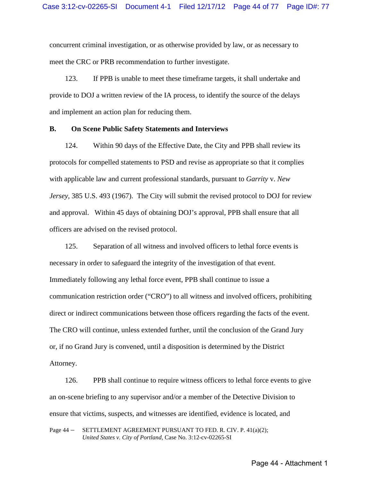concurrent criminal investigation, or as otherwise provided by law, or as necessary to meet the CRC or PRB recommendation to further investigate.

123. If PPB is unable to meet these timeframe targets, it shall undertake and provide to DOJ a written review of the IA process, to identify the source of the delays and implement an action plan for reducing them.

## **B. On Scene Public Safety Statements and Interviews**

124. Within 90 days of the Effective Date, the City and PPB shall review its protocols for compelled statements to PSD and revise as appropriate so that it complies with applicable law and current professional standards, pursuant to *Garrity* v. *New Jersey*, 385 U.S. 493 (1967). The City will submit the revised protocol to DOJ for review and approval. Within 45 days of obtaining DOJ's approval, PPB shall ensure that all officers are advised on the revised protocol.

125. Separation of all witness and involved officers to lethal force events is necessary in order to safeguard the integrity of the investigation of that event. Immediately following any lethal force event, PPB shall continue to issue a communication restriction order ("CRO") to all witness and involved officers, prohibiting direct or indirect communications between those officers regarding the facts of the event. The CRO will continue, unless extended further, until the conclusion of the Grand Jury or, if no Grand Jury is convened, until a disposition is determined by the District Attorney.

126. PPB shall continue to require witness officers to lethal force events to give an on-scene briefing to any supervisor and/or a member of the Detective Division to ensure that victims, suspects, and witnesses are identified, evidence is located, and

Page 44 – SETTLEMENT AGREEMENT PURSUANT TO FED. R. CIV. P. 41(a)(2); *United States v. City of Portland,* Case No. 3:12-cv-02265-SI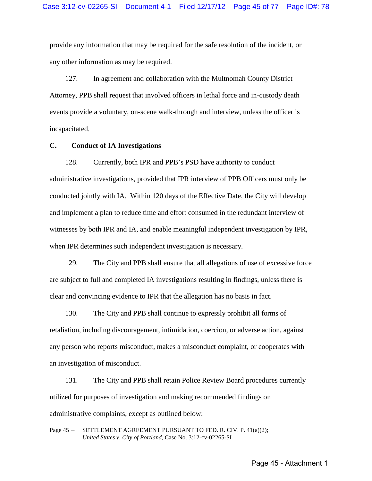provide any information that may be required for the safe resolution of the incident, or any other information as may be required.

127. In agreement and collaboration with the Multnomah County District Attorney, PPB shall request that involved officers in lethal force and in-custody death events provide a voluntary, on-scene walk-through and interview, unless the officer is incapacitated.

## **C. Conduct of IA Investigations**

128. Currently, both IPR and PPB's PSD have authority to conduct administrative investigations, provided that IPR interview of PPB Officers must only be conducted jointly with IA. Within 120 days of the Effective Date, the City will develop and implement a plan to reduce time and effort consumed in the redundant interview of witnesses by both IPR and IA, and enable meaningful independent investigation by IPR, when IPR determines such independent investigation is necessary.

129. The City and PPB shall ensure that all allegations of use of excessive force are subject to full and completed IA investigations resulting in findings, unless there is clear and convincing evidence to IPR that the allegation has no basis in fact.

130. The City and PPB shall continue to expressly prohibit all forms of retaliation, including discouragement, intimidation, coercion, or adverse action, against any person who reports misconduct, makes a misconduct complaint, or cooperates with an investigation of misconduct.

131. The City and PPB shall retain Police Review Board procedures currently utilized for purposes of investigation and making recommended findings on administrative complaints, except as outlined below:

Page 45 – SETTLEMENT AGREEMENT PURSUANT TO FED. R. CIV. P. 41(a)(2); *United States v. City of Portland,* Case No. 3:12-cv-02265-SI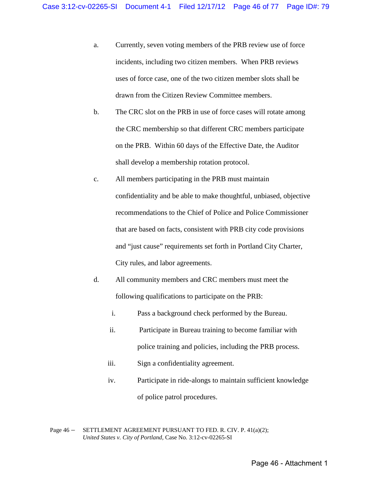- a. Currently, seven voting members of the PRB review use of force incidents, including two citizen members. When PRB reviews uses of force case, one of the two citizen member slots shall be drawn from the Citizen Review Committee members.
- b. The CRC slot on the PRB in use of force cases will rotate among the CRC membership so that different CRC members participate on the PRB. Within 60 days of the Effective Date, the Auditor shall develop a membership rotation protocol.
- c. All members participating in the PRB must maintain confidentiality and be able to make thoughtful, unbiased, objective recommendations to the Chief of Police and Police Commissioner that are based on facts, consistent with PRB city code provisions and "just cause" requirements set forth in Portland City Charter, City rules, and labor agreements.
- d. All community members and CRC members must meet the following qualifications to participate on the PRB:
	- i. Pass a background check performed by the Bureau.
	- ii. Participate in Bureau training to become familiar with police training and policies, including the PRB process.
	- iii. Sign a confidentiality agreement.
	- iv. Participate in ride-alongs to maintain sufficient knowledge of police patrol procedures.

Page 46 – SETTLEMENT AGREEMENT PURSUANT TO FED. R. CIV. P. 41(a)(2); *United States v. City of Portland,* Case No. 3:12-cv-02265-SI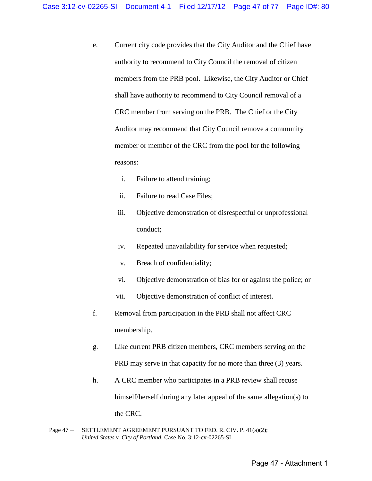- e. Current city code provides that the City Auditor and the Chief have authority to recommend to City Council the removal of citizen members from the PRB pool. Likewise, the City Auditor or Chief shall have authority to recommend to City Council removal of a CRC member from serving on the PRB. The Chief or the City Auditor may recommend that City Council remove a community member or member of the CRC from the pool for the following reasons:
	- i. Failure to attend training;
	- ii. Failure to read Case Files;
	- iii. Objective demonstration of disrespectful or unprofessional conduct;
	- iv. Repeated unavailability for service when requested;
	- v. Breach of confidentiality;
	- vi. Objective demonstration of bias for or against the police; or
	- vii. Objective demonstration of conflict of interest.
- f. Removal from participation in the PRB shall not affect CRC membership.
- g. Like current PRB citizen members, CRC members serving on the PRB may serve in that capacity for no more than three (3) years.
- h. A CRC member who participates in a PRB review shall recuse himself/herself during any later appeal of the same allegation(s) to the CRC.
- Page 47 SETTLEMENT AGREEMENT PURSUANT TO FED. R. CIV. P. 41(a)(2); *United States v. City of Portland,* Case No. 3:12-cv-02265-SI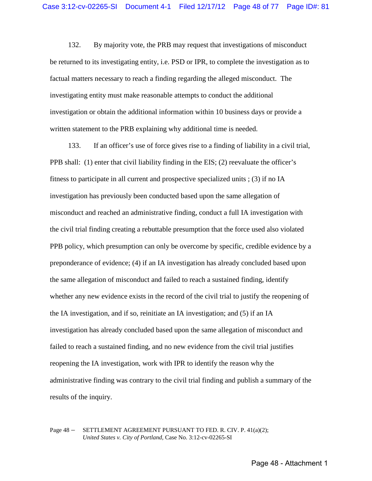132. By majority vote, the PRB may request that investigations of misconduct be returned to its investigating entity, i.e. PSD or IPR, to complete the investigation as to factual matters necessary to reach a finding regarding the alleged misconduct. The investigating entity must make reasonable attempts to conduct the additional investigation or obtain the additional information within 10 business days or provide a written statement to the PRB explaining why additional time is needed.

133. If an officer's use of force gives rise to a finding of liability in a civil trial, PPB shall: (1) enter that civil liability finding in the EIS; (2) reevaluate the officer's fitness to participate in all current and prospective specialized units ; (3) if no IA investigation has previously been conducted based upon the same allegation of misconduct and reached an administrative finding, conduct a full IA investigation with the civil trial finding creating a rebuttable presumption that the force used also violated PPB policy, which presumption can only be overcome by specific, credible evidence by a preponderance of evidence; (4) if an IA investigation has already concluded based upon the same allegation of misconduct and failed to reach a sustained finding, identify whether any new evidence exists in the record of the civil trial to justify the reopening of the IA investigation, and if so, reinitiate an IA investigation; and (5) if an IA investigation has already concluded based upon the same allegation of misconduct and failed to reach a sustained finding, and no new evidence from the civil trial justifies reopening the IA investigation, work with IPR to identify the reason why the administrative finding was contrary to the civil trial finding and publish a summary of the results of the inquiry.

## Page 48 – SETTLEMENT AGREEMENT PURSUANT TO FED. R. CIV. P. 41(a)(2); *United States v. City of Portland,* Case No. 3:12-cv-02265-SI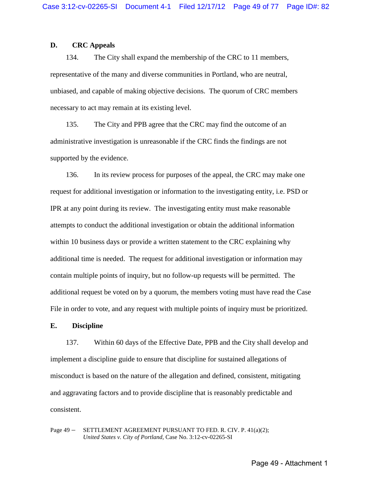## **D. CRC Appeals**

134. The City shall expand the membership of the CRC to 11 members, representative of the many and diverse communities in Portland, who are neutral, unbiased, and capable of making objective decisions. The quorum of CRC members necessary to act may remain at its existing level.

135. The City and PPB agree that the CRC may find the outcome of an administrative investigation is unreasonable if the CRC finds the findings are not supported by the evidence.

136. In its review process for purposes of the appeal, the CRC may make one request for additional investigation or information to the investigating entity, i.e. PSD or IPR at any point during its review. The investigating entity must make reasonable attempts to conduct the additional investigation or obtain the additional information within 10 business days or provide a written statement to the CRC explaining why additional time is needed. The request for additional investigation or information may contain multiple points of inquiry, but no follow-up requests will be permitted. The additional request be voted on by a quorum, the members voting must have read the Case File in order to vote, and any request with multiple points of inquiry must be prioritized.

#### **E. Discipline**

137. Within 60 days of the Effective Date, PPB and the City shall develop and implement a discipline guide to ensure that discipline for sustained allegations of misconduct is based on the nature of the allegation and defined, consistent, mitigating and aggravating factors and to provide discipline that is reasonably predictable and consistent.

Page 49 – SETTLEMENT AGREEMENT PURSUANT TO FED. R. CIV. P. 41(a)(2); *United States v. City of Portland,* Case No. 3:12-cv-02265-SI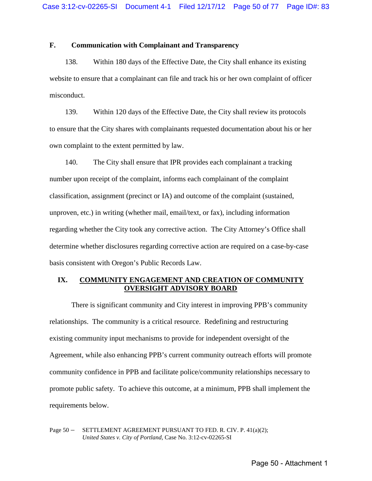# **F. Communication with Complainant and Transparency**

138. Within 180 days of the Effective Date, the City shall enhance its existing website to ensure that a complainant can file and track his or her own complaint of officer misconduct.

139. Within 120 days of the Effective Date, the City shall review its protocols to ensure that the City shares with complainants requested documentation about his or her own complaint to the extent permitted by law.

140. The City shall ensure that IPR provides each complainant a tracking number upon receipt of the complaint, informs each complainant of the complaint classification, assignment (precinct or IA) and outcome of the complaint (sustained, unproven, etc.) in writing (whether mail, email/text, or fax), including information regarding whether the City took any corrective action. The City Attorney's Office shall determine whether disclosures regarding corrective action are required on a case-by-case basis consistent with Oregon's Public Records Law.

## **IX. COMMUNITY ENGAGEMENT AND CREATION OF COMMUNITY OVERSIGHT ADVISORY BOARD**

There is significant community and City interest in improving PPB's community relationships. The community is a critical resource. Redefining and restructuring existing community input mechanisms to provide for independent oversight of the Agreement, while also enhancing PPB's current community outreach efforts will promote community confidence in PPB and facilitate police/community relationships necessary to promote public safety. To achieve this outcome, at a minimum, PPB shall implement the requirements below.

Page 50 – SETTLEMENT AGREEMENT PURSUANT TO FED. R. CIV. P. 41(a)(2); *United States v. City of Portland,* Case No. 3:12-cv-02265-SI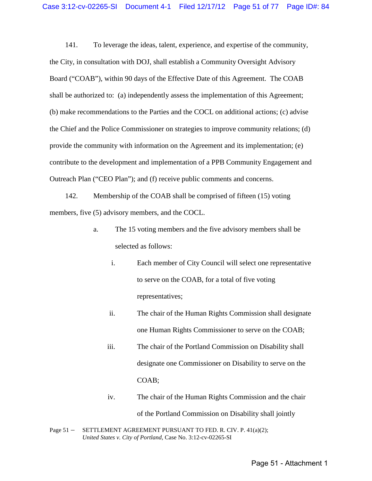141. To leverage the ideas, talent, experience, and expertise of the community, the City, in consultation with DOJ, shall establish a Community Oversight Advisory Board ("COAB"), within 90 days of the Effective Date of this Agreement. The COAB shall be authorized to: (a) independently assess the implementation of this Agreement; (b) make recommendations to the Parties and the COCL on additional actions; (c) advise the Chief and the Police Commissioner on strategies to improve community relations; (d) provide the community with information on the Agreement and its implementation; (e) contribute to the development and implementation of a PPB Community Engagement and Outreach Plan ("CEO Plan"); and (f) receive public comments and concerns.

142. Membership of the COAB shall be comprised of fifteen (15) voting members, five (5) advisory members, and the COCL.

- a. The 15 voting members and the five advisory members shall be selected as follows:
	- i. Each member of City Council will select one representative to serve on the COAB, for a total of five voting representatives;
	- ii. The chair of the Human Rights Commission shall designate one Human Rights Commissioner to serve on the COAB;
	- iii. The chair of the Portland Commission on Disability shall designate one Commissioner on Disability to serve on the COAB;
	- iv. The chair of the Human Rights Commission and the chair of the Portland Commission on Disability shall jointly
- Page 51 SETTLEMENT AGREEMENT PURSUANT TO FED. R. CIV. P. 41(a)(2); *United States v. City of Portland,* Case No. 3:12-cv-02265-SI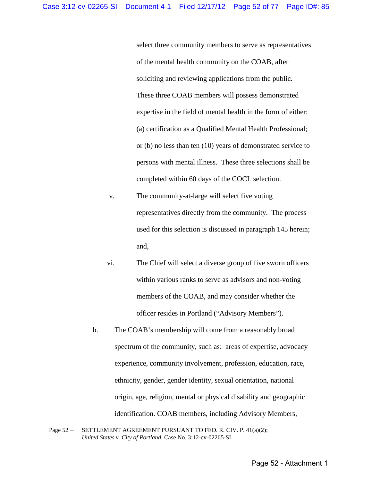select three community members to serve as representatives of the mental health community on the COAB, after soliciting and reviewing applications from the public. These three COAB members will possess demonstrated expertise in the field of mental health in the form of either: (a) certification as a Qualified Mental Health Professional; or (b) no less than ten (10) years of demonstrated service to persons with mental illness. These three selections shall be completed within 60 days of the COCL selection.

- v. The community-at-large will select five voting representatives directly from the community. The process used for this selection is discussed in paragraph 145 herein; and,
- vi. The Chief will select a diverse group of five sworn officers within various ranks to serve as advisors and non-voting members of the COAB, and may consider whether the officer resides in Portland ("Advisory Members").
- b. The COAB's membership will come from a reasonably broad spectrum of the community, such as: areas of expertise, advocacy experience, community involvement, profession, education, race, ethnicity, gender, gender identity, sexual orientation, national origin, age, religion, mental or physical disability and geographic identification. COAB members, including Advisory Members,
- Page 52 SETTLEMENT AGREEMENT PURSUANT TO FED. R. CIV. P. 41(a)(2); *United States v. City of Portland,* Case No. 3:12-cv-02265-SI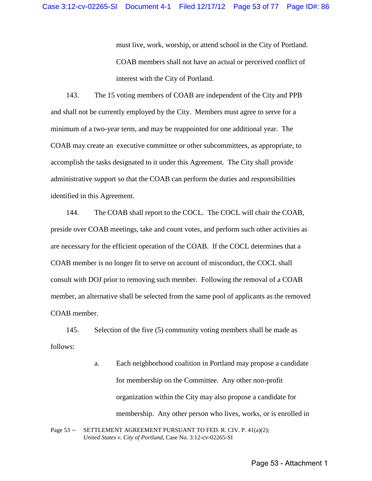must live, work, worship, or attend school in the City of Portland. COAB members shall not have an actual or perceived conflict of interest with the City of Portland.

143. The 15 voting members of COAB are independent of the City and PPB and shall not be currently employed by the City. Members must agree to serve for a minimum of a two-year term, and may be reappointed for one additional year. The COAB may create an executive committee or other subcommittees, as appropriate, to accomplish the tasks designated to it under this Agreement. The City shall provide administrative support so that the COAB can perform the duties and responsibilities identified in this Agreement.

144. The COAB shall report to the COCL. The COCL will chair the COAB, preside over COAB meetings, take and count votes, and perform such other activities as are necessary for the efficient operation of the COAB. If the COCL determines that a COAB member is no longer fit to serve on account of misconduct, the COCL shall consult with DOJ prior to removing such member. Following the removal of a COAB member, an alternative shall be selected from the same pool of applicants as the removed COAB member.

145. Selection of the five (5) community voting members shall be made as follows:

> a. Each neighborhood coalition in Portland may propose a candidate for membership on the Committee. Any other non-profit organization within the City may also propose a candidate for membership. Any other person who lives, works, or is enrolled in

```
Page 53 – SETTLEMENT AGREEMENT PURSUANT TO FED. R. CIV. P. 41(a)(2);
United States v. City of Portland, Case No. 3:12-cv-02265-SI
```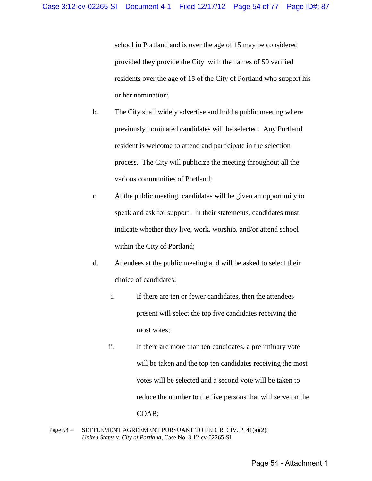school in Portland and is over the age of 15 may be considered provided they provide the City with the names of 50 verified residents over the age of 15 of the City of Portland who support his or her nomination;

- b. The City shall widely advertise and hold a public meeting where previously nominated candidates will be selected. Any Portland resident is welcome to attend and participate in the selection process. The City will publicize the meeting throughout all the various communities of Portland;
- c. At the public meeting, candidates will be given an opportunity to speak and ask for support. In their statements, candidates must indicate whether they live, work, worship, and/or attend school within the City of Portland;
- d. Attendees at the public meeting and will be asked to select their choice of candidates;
	- i. If there are ten or fewer candidates, then the attendees present will select the top five candidates receiving the most votes;
	- ii. If there are more than ten candidates, a preliminary vote will be taken and the top ten candidates receiving the most votes will be selected and a second vote will be taken to reduce the number to the five persons that will serve on the COAB;
- Page 54 SETTLEMENT AGREEMENT PURSUANT TO FED. R. CIV. P. 41(a)(2); *United States v. City of Portland,* Case No. 3:12-cv-02265-SI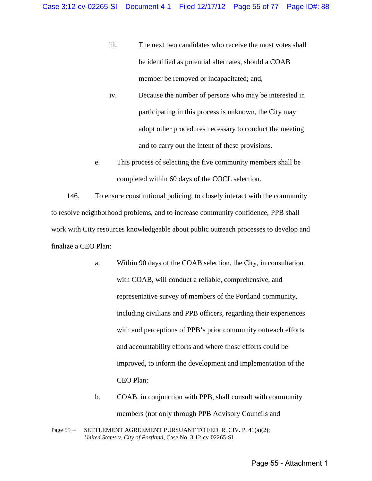- iii. The next two candidates who receive the most votes shall be identified as potential alternates, should a COAB member be removed or incapacitated; and,
- iv. Because the number of persons who may be interested in participating in this process is unknown, the City may adopt other procedures necessary to conduct the meeting and to carry out the intent of these provisions.
- e. This process of selecting the five community members shall be completed within 60 days of the COCL selection.

146. To ensure constitutional policing, to closely interact with the community to resolve neighborhood problems, and to increase community confidence, PPB shall work with City resources knowledgeable about public outreach processes to develop and finalize a CEO Plan:

- a. Within 90 days of the COAB selection, the City, in consultation with COAB, will conduct a reliable, comprehensive, and representative survey of members of the Portland community, including civilians and PPB officers, regarding their experiences with and perceptions of PPB's prior community outreach efforts and accountability efforts and where those efforts could be improved, to inform the development and implementation of the CEO Plan;
- b. COAB, in conjunction with PPB, shall consult with community members (not only through PPB Advisory Councils and

Page 55 – SETTLEMENT AGREEMENT PURSUANT TO FED. R. CIV. P. 41(a)(2); *United States v. City of Portland,* Case No. 3:12-cv-02265-SI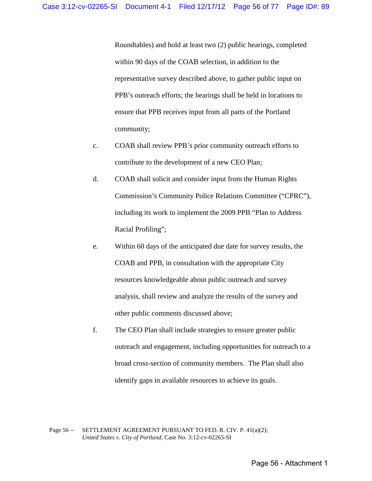Roundtables) and hold at least two (2) public hearings, completed within 90 days of the COAB selection, in addition to the representative survey described above, to gather public input on PPB's outreach efforts; the hearings shall be held in locations to ensure that PPB receives input from all parts of the Portland community;

- c. COAB shall review PPB's prior community outreach efforts to contribute to the development of a new CEO Plan;
- d. COAB shall solicit and consider input from the Human Rights Commission's Community Police Relations Committee ("CPRC"), including its work to implement the 2009 PPB "Plan to Address Racial Profiling";
- e. Within 60 days of the anticipated due date for survey results, the COAB and PPB, in consultation with the appropriate City resources knowledgeable about public outreach and survey analysis, shall review and analyze the results of the survey and other public comments discussed above;
- f. The CEO Plan shall include strategies to ensure greater public outreach and engagement, including opportunities for outreach to a broad cross-section of community members. The Plan shall also identify gaps in available resources to achieve its goals.

Page 56 – SETTLEMENT AGREEMENT PURSUANT TO FED. R. CIV. P. 41(a)(2); *United States v. City of Portland,* Case No. 3:12-cv-02265-SI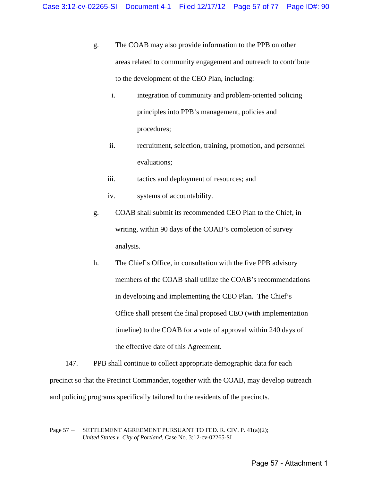- g. The COAB may also provide information to the PPB on other areas related to community engagement and outreach to contribute to the development of the CEO Plan, including:
	- i. integration of community and problem-oriented policing principles into PPB's management, policies and procedures;
	- ii. recruitment, selection, training, promotion, and personnel evaluations;
	- iii. tactics and deployment of resources; and
	- iv. systems of accountability.
- g. COAB shall submit its recommended CEO Plan to the Chief, in writing, within 90 days of the COAB's completion of survey analysis.
- h. The Chief's Office, in consultation with the five PPB advisory members of the COAB shall utilize the COAB's recommendations in developing and implementing the CEO Plan. The Chief's Office shall present the final proposed CEO (with implementation timeline) to the COAB for a vote of approval within 240 days of the effective date of this Agreement.

147. PPB shall continue to collect appropriate demographic data for each precinct so that the Precinct Commander, together with the COAB, may develop outreach and policing programs specifically tailored to the residents of the precincts.

Page 57 – SETTLEMENT AGREEMENT PURSUANT TO FED. R. CIV. P. 41(a)(2); *United States v. City of Portland,* Case No. 3:12-cv-02265-SI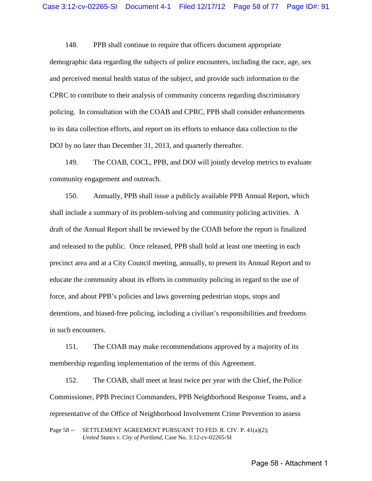148. PPB shall continue to require that officers document appropriate demographic data regarding the subjects of police encounters, including the race, age, sex and perceived mental health status of the subject, and provide such information to the CPRC to contribute to their analysis of community concerns regarding discriminatory policing. In consultation with the COAB and CPRC, PPB shall consider enhancements to its data collection efforts, and report on its efforts to enhance data collection to the DOJ by no later than December 31, 2013, and quarterly thereafter.

149. The COAB, COCL, PPB, and DOJ will jointly develop metrics to evaluate community engagement and outreach.

150. Annually, PPB shall issue a publicly available PPB Annual Report, which shall include a summary of its problem-solving and community policing activities. A draft of the Annual Report shall be reviewed by the COAB before the report is finalized and released to the public. Once released, PPB shall hold at least one meeting in each precinct area and at a City Council meeting, annually, to present its Annual Report and to educate the community about its efforts in community policing in regard to the use of force, and about PPB's policies and laws governing pedestrian stops, stops and detentions, and biased-free policing, including a civilian's responsibilities and freedoms in such encounters.

151. The COAB may make recommendations approved by a majority of its membership regarding implementation of the terms of this Agreement.

152. The COAB, shall meet at least twice per year with the Chief, the Police Commissioner, PPB Precinct Commanders, PPB Neighborhood Response Teams, and a representative of the Office of Neighborhood Involvement Crime Prevention to assess

Page 58 – SETTLEMENT AGREEMENT PURSUANT TO FED. R. CIV. P. 41(a)(2); *United States v. City of Portland,* Case No. 3:12-cv-02265-SI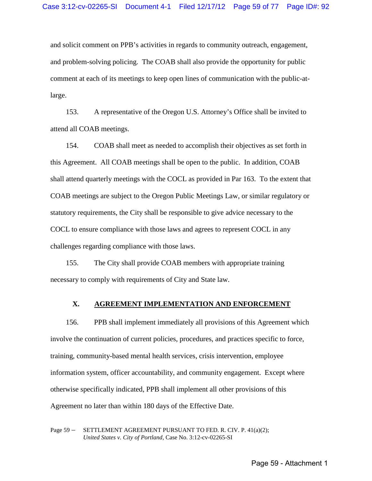and solicit comment on PPB's activities in regards to community outreach, engagement, and problem-solving policing. The COAB shall also provide the opportunity for public comment at each of its meetings to keep open lines of communication with the public-atlarge.

153. A representative of the Oregon U.S. Attorney's Office shall be invited to attend all COAB meetings.

154. COAB shall meet as needed to accomplish their objectives as set forth in this Agreement. All COAB meetings shall be open to the public. In addition, COAB shall attend quarterly meetings with the COCL as provided in Par 163. To the extent that COAB meetings are subject to the Oregon Public Meetings Law, or similar regulatory or statutory requirements, the City shall be responsible to give advice necessary to the COCL to ensure compliance with those laws and agrees to represent COCL in any challenges regarding compliance with those laws.

155. The City shall provide COAB members with appropriate training necessary to comply with requirements of City and State law.

## **X. AGREEMENT IMPLEMENTATION AND ENFORCEMENT**

156. PPB shall implement immediately all provisions of this Agreement which involve the continuation of current policies, procedures, and practices specific to force, training, community-based mental health services, crisis intervention, employee information system, officer accountability, and community engagement. Except where otherwise specifically indicated, PPB shall implement all other provisions of this Agreement no later than within 180 days of the Effective Date.

Page 59 – SETTLEMENT AGREEMENT PURSUANT TO FED. R. CIV. P. 41(a)(2); *United States v. City of Portland,* Case No. 3:12-cv-02265-SI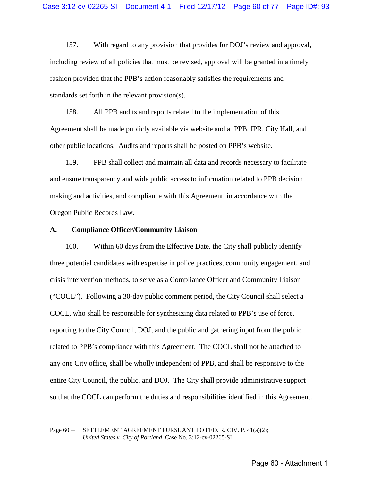157. With regard to any provision that provides for DOJ's review and approval, including review of all policies that must be revised, approval will be granted in a timely fashion provided that the PPB's action reasonably satisfies the requirements and standards set forth in the relevant provision(s).

158. All PPB audits and reports related to the implementation of this Agreement shall be made publicly available via website and at PPB, IPR, City Hall, and other public locations. Audits and reports shall be posted on PPB's website.

159. PPB shall collect and maintain all data and records necessary to facilitate and ensure transparency and wide public access to information related to PPB decision making and activities, and compliance with this Agreement, in accordance with the Oregon Public Records Law.

#### **A. Compliance Officer/Community Liaison**

160. Within 60 days from the Effective Date, the City shall publicly identify three potential candidates with expertise in police practices, community engagement, and crisis intervention methods, to serve as a Compliance Officer and Community Liaison ("COCL"). Following a 30-day public comment period, the City Council shall select a COCL, who shall be responsible for synthesizing data related to PPB's use of force, reporting to the City Council, DOJ, and the public and gathering input from the public related to PPB's compliance with this Agreement. The COCL shall not be attached to any one City office, shall be wholly independent of PPB, and shall be responsive to the entire City Council, the public, and DOJ. The City shall provide administrative support so that the COCL can perform the duties and responsibilities identified in this Agreement.

Page 60 – SETTLEMENT AGREEMENT PURSUANT TO FED. R. CIV. P. 41(a)(2); *United States v. City of Portland,* Case No. 3:12-cv-02265-SI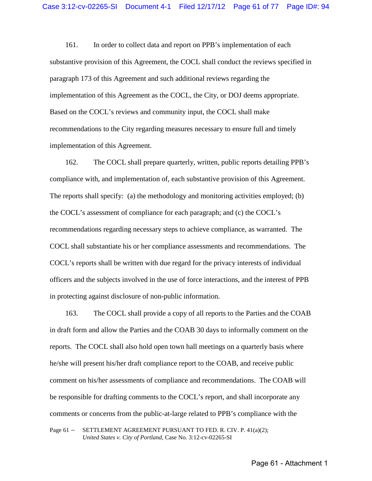161. In order to collect data and report on PPB's implementation of each substantive provision of this Agreement, the COCL shall conduct the reviews specified in paragraph 173 of this Agreement and such additional reviews regarding the implementation of this Agreement as the COCL, the City, or DOJ deems appropriate. Based on the COCL's reviews and community input, the COCL shall make recommendations to the City regarding measures necessary to ensure full and timely implementation of this Agreement.

162. The COCL shall prepare quarterly, written, public reports detailing PPB's compliance with, and implementation of, each substantive provision of this Agreement. The reports shall specify: (a) the methodology and monitoring activities employed; (b) the COCL's assessment of compliance for each paragraph; and (c) the COCL's recommendations regarding necessary steps to achieve compliance, as warranted. The COCL shall substantiate his or her compliance assessments and recommendations. The COCL's reports shall be written with due regard for the privacy interests of individual officers and the subjects involved in the use of force interactions, and the interest of PPB in protecting against disclosure of non-public information.

163. The COCL shall provide a copy of all reports to the Parties and the COAB in draft form and allow the Parties and the COAB 30 days to informally comment on the reports. The COCL shall also hold open town hall meetings on a quarterly basis where he/she will present his/her draft compliance report to the COAB, and receive public comment on his/her assessments of compliance and recommendations. The COAB will be responsible for drafting comments to the COCL's report, and shall incorporate any comments or concerns from the public-at-large related to PPB's compliance with the

Page 61 – SETTLEMENT AGREEMENT PURSUANT TO FED. R. CIV. P. 41(a)(2); *United States v. City of Portland,* Case No. 3:12-cv-02265-SI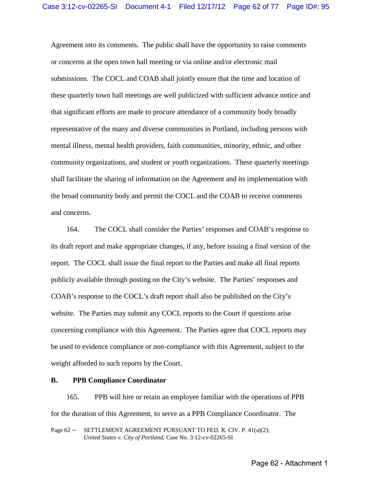Agreement into its comments. The public shall have the opportunity to raise comments or concerns at the open town hall meeting or via online and/or electronic mail submissions. The COCL and COAB shall jointly ensure that the time and location of these quarterly town hall meetings are well publicized with sufficient advance notice and that significant efforts are made to procure attendance of a community body broadly representative of the many and diverse communities in Portland, including persons with mental illness, mental health providers, faith communities, minority, ethnic, and other community organizations, and student or youth organizations. These quarterly meetings shall facilitate the sharing of information on the Agreement and its implementation with the broad community body and permit the COCL and the COAB to receive comments and concerns.

164. The COCL shall consider the Parties' responses and COAB's response to its draft report and make appropriate changes, if any, before issuing a final version of the report. The COCL shall issue the final report to the Parties and make all final reports publicly available through posting on the City's website. The Parties' responses and COAB's response to the COCL's draft report shall also be published on the City's website. The Parties may submit any COCL reports to the Court if questions arise concerning compliance with this Agreement. The Parties agree that COCL reports may be used to evidence compliance or non-compliance with this Agreement, subject to the weight afforded to such reports by the Court.

### **B. PPB Compliance Coordinator**

165. PPB will hire or retain an employee familiar with the operations of PPB for the duration of this Agreement, to serve as a PPB Compliance Coordinator. The

Page 62 – SETTLEMENT AGREEMENT PURSUANT TO FED. R. CIV. P. 41(a)(2); *United States v. City of Portland,* Case No. 3:12-cv-02265-SI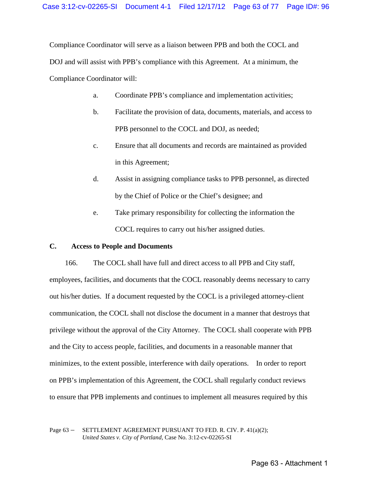Compliance Coordinator will serve as a liaison between PPB and both the COCL and DOJ and will assist with PPB's compliance with this Agreement. At a minimum, the Compliance Coordinator will:

- a. Coordinate PPB's compliance and implementation activities;
- b. Facilitate the provision of data, documents, materials, and access to PPB personnel to the COCL and DOJ, as needed;
- c. Ensure that all documents and records are maintained as provided in this Agreement;
- d. Assist in assigning compliance tasks to PPB personnel, as directed by the Chief of Police or the Chief's designee; and
- e. Take primary responsibility for collecting the information the COCL requires to carry out his/her assigned duties.

## **C. Access to People and Documents**

166. The COCL shall have full and direct access to all PPB and City staff, employees, facilities, and documents that the COCL reasonably deems necessary to carry out his/her duties. If a document requested by the COCL is a privileged attorney-client communication, the COCL shall not disclose the document in a manner that destroys that privilege without the approval of the City Attorney. The COCL shall cooperate with PPB and the City to access people, facilities, and documents in a reasonable manner that minimizes, to the extent possible, interference with daily operations. In order to report on PPB's implementation of this Agreement, the COCL shall regularly conduct reviews to ensure that PPB implements and continues to implement all measures required by this

Page 63 – SETTLEMENT AGREEMENT PURSUANT TO FED. R. CIV. P. 41(a)(2); *United States v. City of Portland,* Case No. 3:12-cv-02265-SI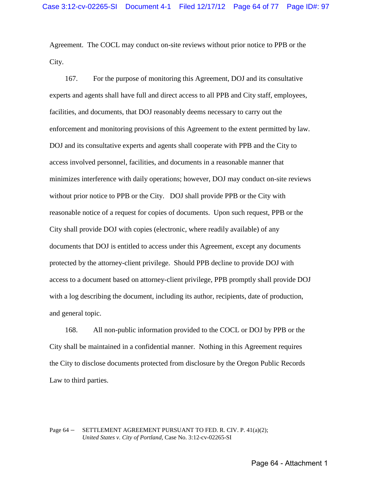Agreement. The COCL may conduct on-site reviews without prior notice to PPB or the City.

167. For the purpose of monitoring this Agreement, DOJ and its consultative experts and agents shall have full and direct access to all PPB and City staff, employees, facilities, and documents, that DOJ reasonably deems necessary to carry out the enforcement and monitoring provisions of this Agreement to the extent permitted by law. DOJ and its consultative experts and agents shall cooperate with PPB and the City to access involved personnel, facilities, and documents in a reasonable manner that minimizes interference with daily operations; however, DOJ may conduct on-site reviews without prior notice to PPB or the City. DOJ shall provide PPB or the City with reasonable notice of a request for copies of documents. Upon such request, PPB or the City shall provide DOJ with copies (electronic, where readily available) of any documents that DOJ is entitled to access under this Agreement, except any documents protected by the attorney-client privilege. Should PPB decline to provide DOJ with access to a document based on attorney-client privilege, PPB promptly shall provide DOJ with a log describing the document, including its author, recipients, date of production, and general topic.

168. All non-public information provided to the COCL or DOJ by PPB or the City shall be maintained in a confidential manner. Nothing in this Agreement requires the City to disclose documents protected from disclosure by the Oregon Public Records Law to third parties.

## Page 64 – SETTLEMENT AGREEMENT PURSUANT TO FED. R. CIV. P. 41(a)(2); *United States v. City of Portland,* Case No. 3:12-cv-02265-SI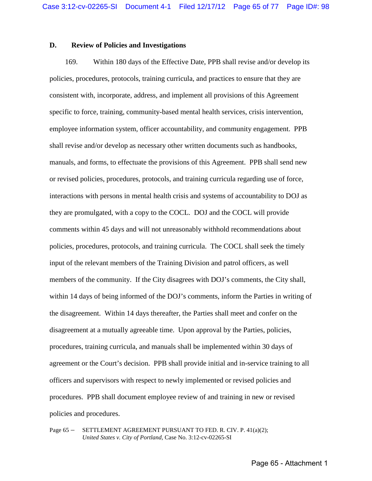## **D. Review of Policies and Investigations**

169. Within 180 days of the Effective Date, PPB shall revise and/or develop its policies, procedures, protocols, training curricula, and practices to ensure that they are consistent with, incorporate, address, and implement all provisions of this Agreement specific to force, training, community-based mental health services, crisis intervention, employee information system, officer accountability, and community engagement. PPB shall revise and/or develop as necessary other written documents such as handbooks, manuals, and forms, to effectuate the provisions of this Agreement. PPB shall send new or revised policies, procedures, protocols, and training curricula regarding use of force, interactions with persons in mental health crisis and systems of accountability to DOJ as they are promulgated, with a copy to the COCL. DOJ and the COCL will provide comments within 45 days and will not unreasonably withhold recommendations about policies, procedures, protocols, and training curricula. The COCL shall seek the timely input of the relevant members of the Training Division and patrol officers, as well members of the community. If the City disagrees with DOJ's comments, the City shall, within 14 days of being informed of the DOJ's comments, inform the Parties in writing of the disagreement. Within 14 days thereafter, the Parties shall meet and confer on the disagreement at a mutually agreeable time. Upon approval by the Parties, policies, procedures, training curricula, and manuals shall be implemented within 30 days of agreement or the Court's decision. PPB shall provide initial and in-service training to all officers and supervisors with respect to newly implemented or revised policies and procedures. PPB shall document employee review of and training in new or revised policies and procedures.

Page 65 – SETTLEMENT AGREEMENT PURSUANT TO FED. R. CIV. P. 41(a)(2); *United States v. City of Portland,* Case No. 3:12-cv-02265-SI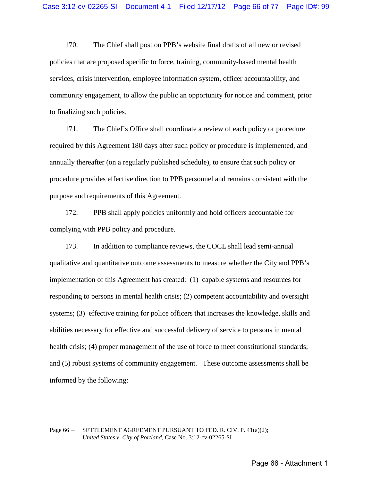170. The Chief shall post on PPB's website final drafts of all new or revised policies that are proposed specific to force, training, community-based mental health services, crisis intervention, employee information system, officer accountability, and community engagement, to allow the public an opportunity for notice and comment, prior to finalizing such policies.

171. The Chief's Office shall coordinate a review of each policy or procedure required by this Agreement 180 days after such policy or procedure is implemented, and annually thereafter (on a regularly published schedule), to ensure that such policy or procedure provides effective direction to PPB personnel and remains consistent with the purpose and requirements of this Agreement.

172. PPB shall apply policies uniformly and hold officers accountable for complying with PPB policy and procedure.

173. In addition to compliance reviews, the COCL shall lead semi-annual qualitative and quantitative outcome assessments to measure whether the City and PPB's implementation of this Agreement has created: (1) capable systems and resources for responding to persons in mental health crisis; (2) competent accountability and oversight systems; (3) effective training for police officers that increases the knowledge, skills and abilities necessary for effective and successful delivery of service to persons in mental health crisis; (4) proper management of the use of force to meet constitutional standards; and (5) robust systems of community engagement. These outcome assessments shall be informed by the following:

### Page 66 – SETTLEMENT AGREEMENT PURSUANT TO FED. R. CIV. P. 41(a)(2); *United States v. City of Portland,* Case No. 3:12-cv-02265-SI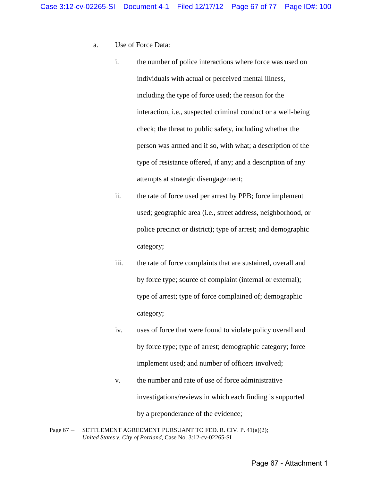- a. Use of Force Data:
	- i. the number of police interactions where force was used on individuals with actual or perceived mental illness, including the type of force used; the reason for the interaction, i.e., suspected criminal conduct or a well-being check; the threat to public safety, including whether the person was armed and if so, with what; a description of the type of resistance offered, if any; and a description of any attempts at strategic disengagement;
	- ii. the rate of force used per arrest by PPB; force implement used; geographic area (i.e., street address, neighborhood, or police precinct or district); type of arrest; and demographic category;
	- iii. the rate of force complaints that are sustained, overall and by force type; source of complaint (internal or external); type of arrest; type of force complained of; demographic category;
	- iv. uses of force that were found to violate policy overall and by force type; type of arrest; demographic category; force implement used; and number of officers involved;
	- v. the number and rate of use of force administrative investigations/reviews in which each finding is supported by a preponderance of the evidence;
- Page 67 SETTLEMENT AGREEMENT PURSUANT TO FED. R. CIV. P. 41(a)(2); *United States v. City of Portland,* Case No. 3:12-cv-02265-SI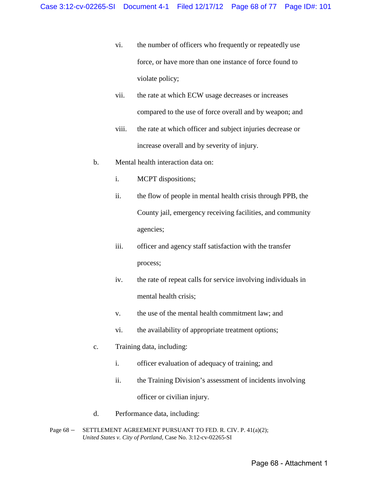- vi. the number of officers who frequently or repeatedly use force, or have more than one instance of force found to violate policy;
- vii. the rate at which ECW usage decreases or increases compared to the use of force overall and by weapon; and
- viii. the rate at which officer and subject injuries decrease or increase overall and by severity of injury.
- b. Mental health interaction data on:
	- i. MCPT dispositions;
	- ii. the flow of people in mental health crisis through PPB, the County jail, emergency receiving facilities, and community agencies;
	- iii. officer and agency staff satisfaction with the transfer process;
	- iv. the rate of repeat calls for service involving individuals in mental health crisis;
	- v. the use of the mental health commitment law; and
	- vi. the availability of appropriate treatment options;
- c. Training data, including:
	- i. officer evaluation of adequacy of training; and
	- ii. the Training Division's assessment of incidents involving officer or civilian injury.
- d. Performance data, including:
- Page 68 SETTLEMENT AGREEMENT PURSUANT TO FED. R. CIV. P. 41(a)(2); *United States v. City of Portland,* Case No. 3:12-cv-02265-SI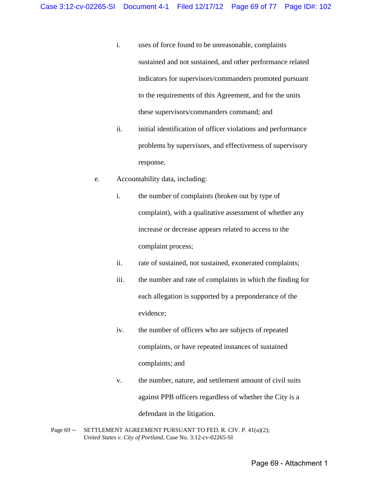- i. uses of force found to be unreasonable, complaints sustained and not sustained, and other performance related indicators for supervisors/commanders promoted pursuant to the requirements of this Agreement, and for the units these supervisors/commanders command; and
- ii. initial identification of officer violations and performance problems by supervisors, and effectiveness of supervisory response.
- e. Accountability data, including:
	- i. the number of complaints (broken out by type of complaint), with a qualitative assessment of whether any increase or decrease appears related to access to the complaint process;
	- ii. rate of sustained, not sustained, exonerated complaints;
	- iii. the number and rate of complaints in which the finding for each allegation is supported by a preponderance of the evidence;
	- iv. the number of officers who are subjects of repeated complaints, or have repeated instances of sustained complaints; and
	- v. the number, nature, and settlement amount of civil suits against PPB officers regardless of whether the City is a defendant in the litigation.
- Page 69 SETTLEMENT AGREEMENT PURSUANT TO FED. R. CIV. P. 41(a)(2); *United States v. City of Portland,* Case No. 3:12-cv-02265-SI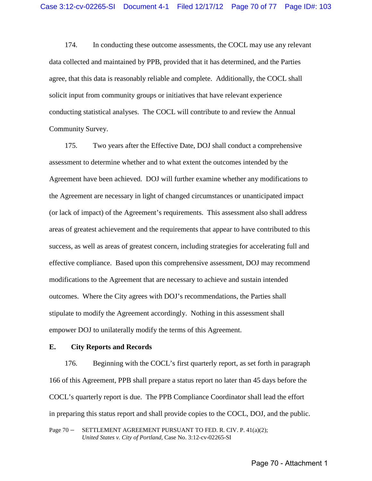174. In conducting these outcome assessments, the COCL may use any relevant data collected and maintained by PPB, provided that it has determined, and the Parties agree, that this data is reasonably reliable and complete. Additionally, the COCL shall solicit input from community groups or initiatives that have relevant experience conducting statistical analyses. The COCL will contribute to and review the Annual Community Survey.

175. Two years after the Effective Date, DOJ shall conduct a comprehensive assessment to determine whether and to what extent the outcomes intended by the Agreement have been achieved. DOJ will further examine whether any modifications to the Agreement are necessary in light of changed circumstances or unanticipated impact (or lack of impact) of the Agreement's requirements. This assessment also shall address areas of greatest achievement and the requirements that appear to have contributed to this success, as well as areas of greatest concern, including strategies for accelerating full and effective compliance. Based upon this comprehensive assessment, DOJ may recommend modifications to the Agreement that are necessary to achieve and sustain intended outcomes. Where the City agrees with DOJ's recommendations, the Parties shall stipulate to modify the Agreement accordingly. Nothing in this assessment shall empower DOJ to unilaterally modify the terms of this Agreement.

## **E. City Reports and Records**

176. Beginning with the COCL's first quarterly report, as set forth in paragraph 166 of this Agreement, PPB shall prepare a status report no later than 45 days before the COCL's quarterly report is due. The PPB Compliance Coordinator shall lead the effort in preparing this status report and shall provide copies to the COCL, DOJ, and the public.

Page 70 - SETTLEMENT AGREEMENT PURSUANT TO FED. R. CIV. P. 41(a)(2); *United States v. City of Portland,* Case No. 3:12-cv-02265-SI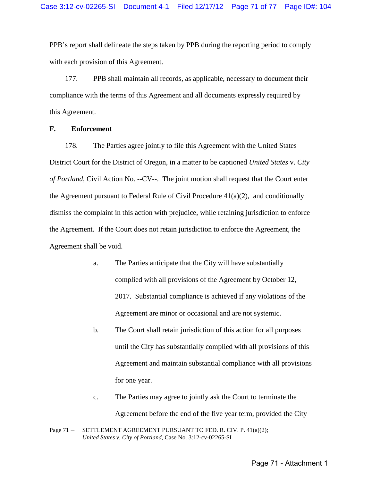PPB's report shall delineate the steps taken by PPB during the reporting period to comply with each provision of this Agreement.

177. PPB shall maintain all records, as applicable, necessary to document their compliance with the terms of this Agreement and all documents expressly required by this Agreement.

## **F. Enforcement**

178. The Parties agree jointly to file this Agreement with the United States District Court for the District of Oregon, in a matter to be captioned *United States* v. *City of Portland*, Civil Action No. --CV--. The joint motion shall request that the Court enter the Agreement pursuant to Federal Rule of Civil Procedure 41(a)(2), and conditionally dismiss the complaint in this action with prejudice, while retaining jurisdiction to enforce the Agreement. If the Court does not retain jurisdiction to enforce the Agreement, the Agreement shall be void.

- a. The Parties anticipate that the City will have substantially complied with all provisions of the Agreement by October 12, 2017. Substantial compliance is achieved if any violations of the Agreement are minor or occasional and are not systemic.
- b. The Court shall retain jurisdiction of this action for all purposes until the City has substantially complied with all provisions of this Agreement and maintain substantial compliance with all provisions for one year.
- c. The Parties may agree to jointly ask the Court to terminate the Agreement before the end of the five year term, provided the City

```
Page 71 – SETTLEMENT AGREEMENT PURSUANT TO FED. R. CIV. P. 41(a)(2);
United States v. City of Portland, Case No. 3:12-cv-02265-SI
```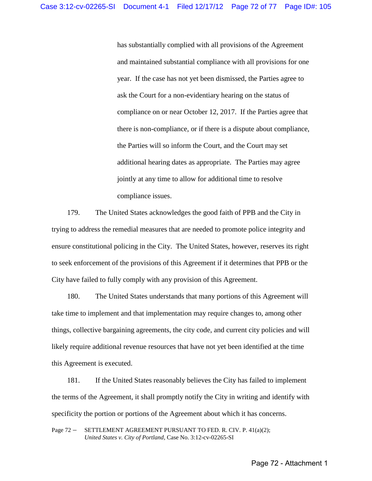has substantially complied with all provisions of the Agreement and maintained substantial compliance with all provisions for one year. If the case has not yet been dismissed, the Parties agree to ask the Court for a non-evidentiary hearing on the status of compliance on or near October 12, 2017. If the Parties agree that there is non-compliance, or if there is a dispute about compliance, the Parties will so inform the Court, and the Court may set additional hearing dates as appropriate. The Parties may agree jointly at any time to allow for additional time to resolve compliance issues.

179. The United States acknowledges the good faith of PPB and the City in trying to address the remedial measures that are needed to promote police integrity and ensure constitutional policing in the City. The United States, however, reserves its right to seek enforcement of the provisions of this Agreement if it determines that PPB or the City have failed to fully comply with any provision of this Agreement.

180. The United States understands that many portions of this Agreement will take time to implement and that implementation may require changes to, among other things, collective bargaining agreements, the city code, and current city policies and will likely require additional revenue resources that have not yet been identified at the time this Agreement is executed.

181. If the United States reasonably believes the City has failed to implement the terms of the Agreement, it shall promptly notify the City in writing and identify with specificity the portion or portions of the Agreement about which it has concerns.

Page 72 - SETTLEMENT AGREEMENT PURSUANT TO FED. R. CIV. P. 41(a)(2); *United States v. City of Portland,* Case No. 3:12-cv-02265-SI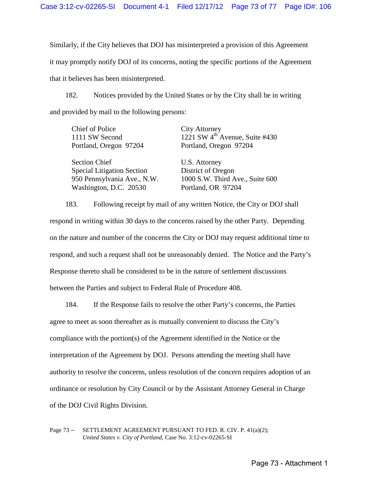Similarly, if the City believes that DOJ has misinterpreted a provision of this Agreement it may promptly notify DOJ of its concerns, noting the specific portions of the Agreement that it believes has been misinterpreted.

182. Notices provided by the United States or by the City shall be in writing and provided by mail to the following persons:

| Chief of Police                   | <b>City Attorney</b>                       |
|-----------------------------------|--------------------------------------------|
| 1111 SW Second                    | 1221 SW 4 <sup>th</sup> Avenue, Suite #430 |
| Portland, Oregon 97204            | Portland, Oregon 97204                     |
| <b>Section Chief</b>              | U.S. Attorney                              |
| <b>Special Litigation Section</b> | District of Oregon                         |
| 950 Pennsylvania Ave., N.W.       | 1000 S.W. Third Ave., Suite 600            |
| Washington, D.C. 20530            | Portland, OR 97204                         |

183. Following receipt by mail of any written Notice, the City or DOJ shall respond in writing within 30 days to the concerns raised by the other Party. Depending on the nature and number of the concerns the City or DOJ may request additional time to respond, and such a request shall not be unreasonably denied. The Notice and the Party's Response thereto shall be considered to be in the nature of settlement discussions between the Parties and subject to Federal Rule of Procedure 408.

184. If the Response fails to resolve the other Party's concerns, the Parties agree to meet as soon thereafter as is mutually convenient to discuss the City's compliance with the portion(s) of the Agreement identified in the Notice or the interpretation of the Agreement by DOJ. Persons attending the meeting shall have authority to resolve the concerns, unless resolution of the concern requires adoption of an ordinance or resolution by City Council or by the Assistant Attorney General in Charge of the DOJ Civil Rights Division.

Page 73 – SETTLEMENT AGREEMENT PURSUANT TO FED. R. CIV. P. 41(a)(2); *United States v. City of Portland,* Case No. 3:12-cv-02265-SI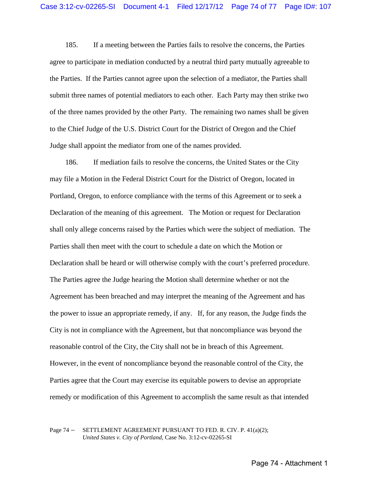185. If a meeting between the Parties fails to resolve the concerns, the Parties agree to participate in mediation conducted by a neutral third party mutually agreeable to the Parties. If the Parties cannot agree upon the selection of a mediator, the Parties shall submit three names of potential mediators to each other. Each Party may then strike two of the three names provided by the other Party. The remaining two names shall be given to the Chief Judge of the U.S. District Court for the District of Oregon and the Chief Judge shall appoint the mediator from one of the names provided.

186. If mediation fails to resolve the concerns, the United States or the City may file a Motion in the Federal District Court for the District of Oregon, located in Portland, Oregon, to enforce compliance with the terms of this Agreement or to seek a Declaration of the meaning of this agreement. The Motion or request for Declaration shall only allege concerns raised by the Parties which were the subject of mediation. The Parties shall then meet with the court to schedule a date on which the Motion or Declaration shall be heard or will otherwise comply with the court's preferred procedure. The Parties agree the Judge hearing the Motion shall determine whether or not the Agreement has been breached and may interpret the meaning of the Agreement and has the power to issue an appropriate remedy, if any. If, for any reason, the Judge finds the City is not in compliance with the Agreement, but that noncompliance was beyond the reasonable control of the City, the City shall not be in breach of this Agreement. However, in the event of noncompliance beyond the reasonable control of the City, the Parties agree that the Court may exercise its equitable powers to devise an appropriate remedy or modification of this Agreement to accomplish the same result as that intended

## Page 74 – SETTLEMENT AGREEMENT PURSUANT TO FED. R. CIV. P. 41(a)(2); *United States v. City of Portland,* Case No. 3:12-cv-02265-SI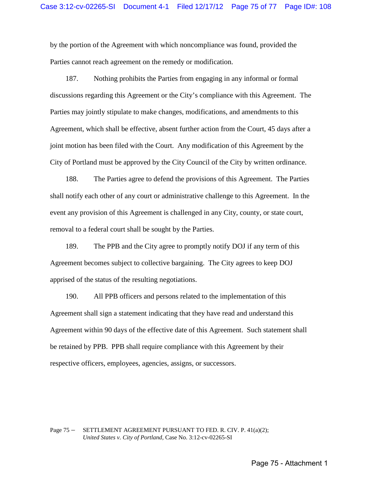by the portion of the Agreement with which noncompliance was found, provided the Parties cannot reach agreement on the remedy or modification.

187. Nothing prohibits the Parties from engaging in any informal or formal discussions regarding this Agreement or the City's compliance with this Agreement. The Parties may jointly stipulate to make changes, modifications, and amendments to this Agreement, which shall be effective, absent further action from the Court, 45 days after a joint motion has been filed with the Court. Any modification of this Agreement by the City of Portland must be approved by the City Council of the City by written ordinance.

188. The Parties agree to defend the provisions of this Agreement. The Parties shall notify each other of any court or administrative challenge to this Agreement. In the event any provision of this Agreement is challenged in any City, county, or state court, removal to a federal court shall be sought by the Parties.

189. The PPB and the City agree to promptly notify DOJ if any term of this Agreement becomes subject to collective bargaining. The City agrees to keep DOJ apprised of the status of the resulting negotiations.

190. All PPB officers and persons related to the implementation of this Agreement shall sign a statement indicating that they have read and understand this Agreement within 90 days of the effective date of this Agreement. Such statement shall be retained by PPB. PPB shall require compliance with this Agreement by their respective officers, employees, agencies, assigns, or successors.

## Page 75 – SETTLEMENT AGREEMENT PURSUANT TO FED. R. CIV. P. 41(a)(2); *United States v. City of Portland,* Case No. 3:12-cv-02265-SI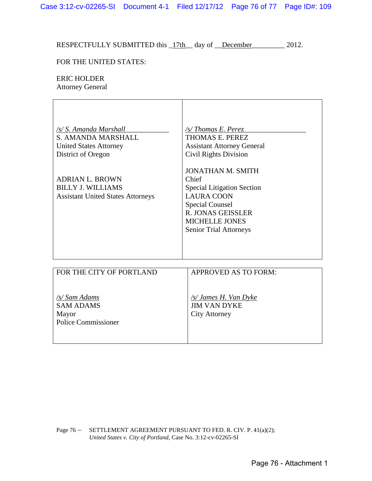RESPECTFULLY SUBMITTED this  $17th$  day of December 2012.

## FOR THE UNITED STATES:

## ERIC HOLDER

Attorney General

| /s/ S. Amanda Marshall<br>S. AMANDA MARSHALL<br><b>United States Attorney</b><br>District of Oregon | /s/Thomas E. Perez<br>THOMAS E. PEREZ<br><b>Assistant Attorney General</b><br><b>Civil Rights Division</b>                                                                                                  |
|-----------------------------------------------------------------------------------------------------|-------------------------------------------------------------------------------------------------------------------------------------------------------------------------------------------------------------|
| <b>ADRIAN L. BROWN</b><br><b>BILLY J. WILLIAMS</b><br><b>Assistant United States Attorneys</b>      | <b>JONATHAN M. SMITH</b><br>Chief<br><b>Special Litigation Section</b><br><b>LAURA COON</b><br><b>Special Counsel</b><br><b>R. JONAS GEISSLER</b><br><b>MICHELLE JONES</b><br><b>Senior Trial Attorneys</b> |
| <b>DOD BUE CUBY OF BODBL AND</b>                                                                    | $\lambda$ ppp $\alpha$ $\mu$ pp $\lambda$ $\alpha$ $\pi\alpha$ paper $\lambda$                                                                                                                              |

| FOR THE CITY OF PORTLAND                                                 | <b>APPROVED AS TO FORM:</b>                                          |
|--------------------------------------------------------------------------|----------------------------------------------------------------------|
| /s/ Sam Adams<br><b>SAM ADAMS</b><br>Mayor<br><b>Police Commissioner</b> | /s/ James H. Van Dyke<br><b>JIM VAN DYKE</b><br><b>City Attorney</b> |